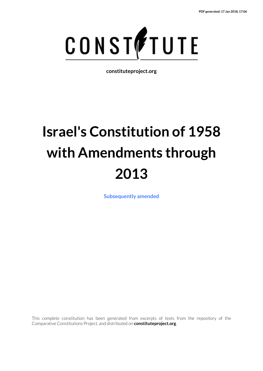

**constituteproject.org**

# **Israel's Constitution of 1958 with Amendments through 2013**

**[Subsequently amended](https://www.constituteproject.org/ontology/Israel?lang=en)**

This complete constitution has been generated from excerpts of texts from the repository of the Comparative Constitutions Project, and distributed on **constituteproject.org**.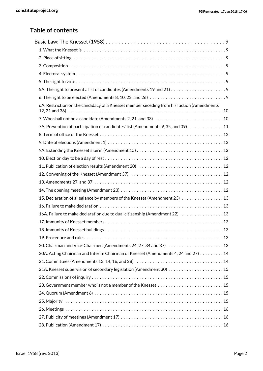### **Table of contents**

| 6. The right to be elected (Amendments 8, 10, 22, and 26) $\ldots \ldots \ldots \ldots \ldots \ldots \ldots \ldots \ldots$ |
|----------------------------------------------------------------------------------------------------------------------------|
| 6A. Restriction on the candidacy of a Knesset member seceding from his faction (Amendments                                 |
|                                                                                                                            |
| 7A. Prevention of participation of candidates' list (Amendments 9, 35, and 39) 11                                          |
|                                                                                                                            |
|                                                                                                                            |
|                                                                                                                            |
|                                                                                                                            |
|                                                                                                                            |
|                                                                                                                            |
|                                                                                                                            |
|                                                                                                                            |
| 15. Declaration of allegiance by members of the Knesset (Amendment 23) 13                                                  |
|                                                                                                                            |
| 16A. Failure to make declaration due to dual citizenship (Amendment 22) 13                                                 |
|                                                                                                                            |
|                                                                                                                            |
|                                                                                                                            |
|                                                                                                                            |
| 20A. Acting Chairman and Interim Chairman of Knesset (Amendments 4, 24 and 27) 14                                          |
|                                                                                                                            |
|                                                                                                                            |
|                                                                                                                            |
|                                                                                                                            |
|                                                                                                                            |
|                                                                                                                            |
|                                                                                                                            |
|                                                                                                                            |
|                                                                                                                            |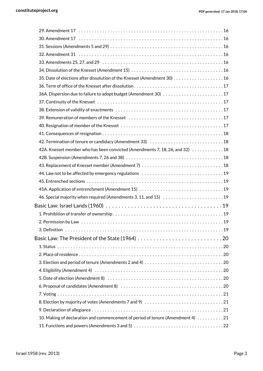| 31. Sessions (Amendments 5 and 29) $\dots\dots\dots\dots\dots\dots\dots\dots\dots\dots\dots\dots\dots\dots\dots\dots$ |  |
|-----------------------------------------------------------------------------------------------------------------------|--|
|                                                                                                                       |  |
|                                                                                                                       |  |
|                                                                                                                       |  |
| 35. Date of elections after dissolution of the Knesset (Amendment 30) 16                                              |  |
|                                                                                                                       |  |
|                                                                                                                       |  |
|                                                                                                                       |  |
|                                                                                                                       |  |
|                                                                                                                       |  |
|                                                                                                                       |  |
|                                                                                                                       |  |
|                                                                                                                       |  |
| 42A. Knesset member who has been convicted (Amendments 7, 18, 26, and 32) 18                                          |  |
|                                                                                                                       |  |
|                                                                                                                       |  |
|                                                                                                                       |  |
|                                                                                                                       |  |
|                                                                                                                       |  |
| 46. Special majority when required (Amendments 3, 11, and 15) 19                                                      |  |
|                                                                                                                       |  |
|                                                                                                                       |  |
|                                                                                                                       |  |
|                                                                                                                       |  |
| Basic Law: The President of the State (1964) 20                                                                       |  |
|                                                                                                                       |  |
|                                                                                                                       |  |
|                                                                                                                       |  |
|                                                                                                                       |  |
|                                                                                                                       |  |
|                                                                                                                       |  |
|                                                                                                                       |  |
|                                                                                                                       |  |
|                                                                                                                       |  |
| 10. Making of declaration and commencement of period of tenure (Amendment 4) 21                                       |  |
|                                                                                                                       |  |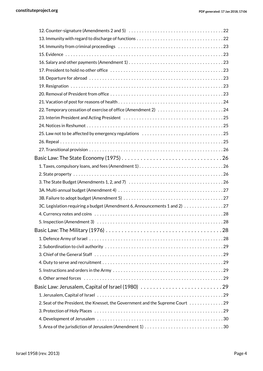| 3C. Legislation requiring a budget (Amendment 6, Announcements 1 and 2) 27     |  |
|--------------------------------------------------------------------------------|--|
|                                                                                |  |
|                                                                                |  |
|                                                                                |  |
|                                                                                |  |
|                                                                                |  |
|                                                                                |  |
|                                                                                |  |
|                                                                                |  |
|                                                                                |  |
| Basic Law: Jerusalem, Capital of Israel (1980) 29                              |  |
|                                                                                |  |
| 2. Seat of the President, the Knesset, the Government and the Supreme Court 29 |  |
|                                                                                |  |
|                                                                                |  |
|                                                                                |  |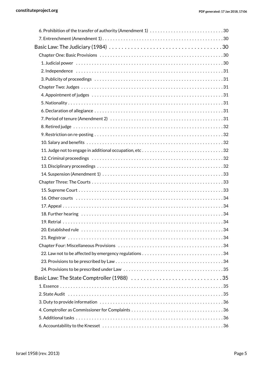| Basic Law: The Judiciary (1984) $\ldots \ldots \ldots \ldots \ldots \ldots \ldots \ldots \ldots \ldots \ldots \ldots \ldots$ |
|------------------------------------------------------------------------------------------------------------------------------|
|                                                                                                                              |
|                                                                                                                              |
|                                                                                                                              |
|                                                                                                                              |
|                                                                                                                              |
|                                                                                                                              |
|                                                                                                                              |
|                                                                                                                              |
|                                                                                                                              |
|                                                                                                                              |
|                                                                                                                              |
|                                                                                                                              |
| 11. Judge not to engage in additional occupation, etc32                                                                      |
|                                                                                                                              |
|                                                                                                                              |
|                                                                                                                              |
|                                                                                                                              |
|                                                                                                                              |
|                                                                                                                              |
|                                                                                                                              |
|                                                                                                                              |
|                                                                                                                              |
|                                                                                                                              |
|                                                                                                                              |
|                                                                                                                              |
|                                                                                                                              |
|                                                                                                                              |
|                                                                                                                              |
|                                                                                                                              |
|                                                                                                                              |
|                                                                                                                              |
|                                                                                                                              |
|                                                                                                                              |
|                                                                                                                              |
|                                                                                                                              |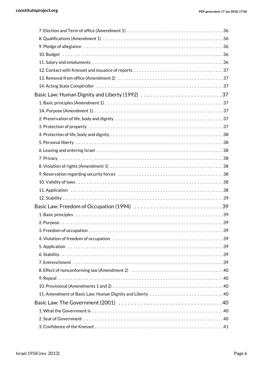| 14. Acting State Comptroller (all cases contracts contracts contracts contracts contracts contracts controller |  |
|----------------------------------------------------------------------------------------------------------------|--|
|                                                                                                                |  |
|                                                                                                                |  |
|                                                                                                                |  |
|                                                                                                                |  |
|                                                                                                                |  |
|                                                                                                                |  |
|                                                                                                                |  |
|                                                                                                                |  |
|                                                                                                                |  |
|                                                                                                                |  |
|                                                                                                                |  |
|                                                                                                                |  |
|                                                                                                                |  |
|                                                                                                                |  |
|                                                                                                                |  |
|                                                                                                                |  |
|                                                                                                                |  |
|                                                                                                                |  |
|                                                                                                                |  |
|                                                                                                                |  |
|                                                                                                                |  |
|                                                                                                                |  |
|                                                                                                                |  |
|                                                                                                                |  |
|                                                                                                                |  |
|                                                                                                                |  |
|                                                                                                                |  |
|                                                                                                                |  |
|                                                                                                                |  |
|                                                                                                                |  |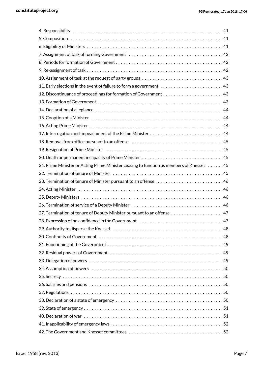| 21. Prime Minister or Acting Prime Minister ceasing to function as members of Knesset 45 |
|------------------------------------------------------------------------------------------|
|                                                                                          |
|                                                                                          |
|                                                                                          |
|                                                                                          |
|                                                                                          |
|                                                                                          |
|                                                                                          |
|                                                                                          |
|                                                                                          |
|                                                                                          |
|                                                                                          |
|                                                                                          |
|                                                                                          |
|                                                                                          |
|                                                                                          |
|                                                                                          |
|                                                                                          |
|                                                                                          |
|                                                                                          |
|                                                                                          |
|                                                                                          |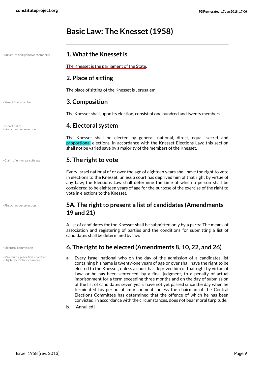# <span id="page-8-0"></span>**Basic Law: The Knesset (1958)**

| Structure of legislative chamber(s) |  |  |  |  |
|-------------------------------------|--|--|--|--|
|                                     |  |  |  |  |

• First chamber selection

• Minimum age for first chamber • Eligibility for first chamber

#### <span id="page-8-15"></span><span id="page-8-1"></span>**1. What the Knesset is**

The Knesset is the parliament of the State.

#### <span id="page-8-2"></span>**2. Place of sitting**

<span id="page-8-3"></span>The place of sitting of the Knesset is Jerusalem.

#### <span id="page-8-14"></span>• Size of first chamber **3. Composition**

<span id="page-8-4"></span>The Knesset shall, upon its election, consist of one hundred and twenty members.

### <span id="page-8-13"></span>• Secret ballot **4. Electoral system** • First chamber selection

The Knesset shall be elected by general, national, direct, equal, secret and proportional elections, in accordance with the Knesset Elections Law; this section shall not be varied save by a majority of the members of the Knesset.

#### • Claim of universal suffrage **5. The right to vote**

<span id="page-8-8"></span><span id="page-8-5"></span>Every Israel national of or over the age of eighteen years shall have the right to vote in elections to the Knesset, unless a court has deprived him of that right by virtue of any Law; the Elections Law shall determine the time at which a person shall be considered to be eighteen years of age for the purpose of the exercise of the right to vote in elections to the Knesset.

#### <span id="page-8-11"></span><span id="page-8-6"></span>**5A. The right to present a list of candidates (Amendments 19 and 21)**

A list of candidates for the Knesset shall be submitted only by a party; The means of association and registering of parties and the conditions for submitting a list of candidates shall be determined by law.

#### <span id="page-8-9"></span>• Electoral commission **6. The right to be elected (Amendments 8, 10, 22, and 26)**

- <span id="page-8-12"></span><span id="page-8-10"></span><span id="page-8-7"></span>**a.** Every Israel national who on the day of the admission of a candidates list containing his name is twenty-one years of age or over shall have the right to be elected to the Knesset, unless a court has deprived him of that right by virtue of Law, or he has been sentenced, by a final judgment, to a penalty of actual imprisonment for a term exceeding three months and on the day of submission of the list of candidates seven years have not yet passed since the day when he terminated his period of imprisonment, unless the chairman of the Central Elections Committee has determined that the offence of which he has been convicted, in accordance with the circumstances, does not bear moral turpitude.
- **b.** [Annulled]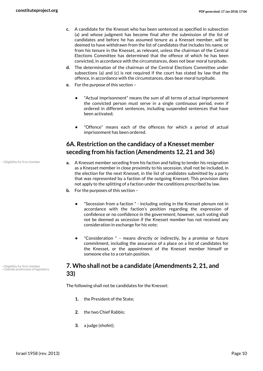- **c.** A candidate for the Knesset who has been sentenced as specified in subsection (a) and whose judgment has become final after the submission of the list of candidates and before he has assumed tenure as a Knesset member, will be deemed to have withdrawn from the list of candidates that includes his name, or from his tenure in the Knesset, as relevant, unless the chairman of the Central Elections Committee has determined that the offence of which he has been convicted, in accordance with the circumstances, does not bear moral turpitude.
- **d.** The determination of the chairman of the Central Elections Committee under subsections (a) and (c) is not required if the court has stated by law that the offence, in accordance with the circumstances, does bear moral turpitude.
- **e.** For the purpose of this section
	- **•** "Actual imprisonment" means the sum of all terms of actual imprisonment the convicted person must serve in a single continuous period, even if ordered in different sentences, including suspended sentences that have been activated;
	- **•** "Offence" means each of the offences for which a period of actual imprisonment has been ordered.

#### <span id="page-9-0"></span>**6A. Restriction on the candidacy of a Knesset member seceding from his faction (Amendments 12, 21 and 36)**

- **a.** A Knesset member seceding from his faction and failing to tender his resignation as a Knesset member in close proximity to his secession, shall not be included, in the election for the next Knesset, in the list of candidates submitted by a party that was represented by a faction of the outgoing Knesset; This provision does not apply to the splitting of a faction under the conditions prescribed by law.
- **b.** For the purposes of this section
	- **•** "Secession from a faction " including voting in the Knesset plenum not in accordance with the faction's position regarding the expression of confidence or no confidence in the government; however, such voting shall not be deemed as secession if the Knesset member has not received any consideration in exchange for his vote;
	- **•** "Consideration " means directly or indirectly, by a promise or future commitment, including the assurance of a place on a list of candidates for the Knesset, or the appointment of the Knesset member himself or someone else to a certain position.

#### <span id="page-9-3"></span><span id="page-9-2"></span><span id="page-9-1"></span>**7. Who shall not be a candidate (Amendments 2, 21, and 33)**

The following shall not be candidates for the Knesset:

- **1.** the President of the State;
- **2.** the two Chief Rabbis;
- **3.** a judge (shofet);

• Eligibility for first chamber

• Eligibility for first chamber • Outside professions of legislators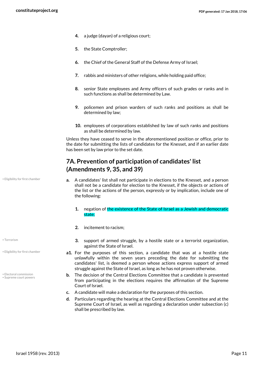- **4.** a judge (dayan) of a religious court;
- **5.** the State Comptroller;
- **6.** the Chief of the General Staff of the Defense Army of Israel;
- **7.** rabbis and ministers of other religions, while holding paid office;
- **8.** senior State employees and Army officers of such grades or ranks and in such functions as shall be determined by Law.
- **9.** policemen and prison warders of such ranks and positions as shall be determined by law;
- **10.** employees of corporations established by law of such ranks and positions as shall be determined by law.

Unless they have ceased to serve in the aforementioned position or office, prior to the date for submitting the lists of candidates for the Knesset, and if an earlier date has been set by law prior to the set date.

#### <span id="page-10-0"></span>**7A. Prevention of participation of candidates' list (Amendments 9, 35, and 39)**

- **a.** A candidates' list shall not participate in elections to the Knesset, and a person shall not be a candidate for election to the Knesset, if the objects or actions of the list or the actions of the person, expressly or by implication, include one of the following:
	- **1.** negation of the existence of the State of Israel as a Jewish and democratic state;
	- **2.** incitement to racism;
	- **3.** support of armed struggle, by a hostile state or a terrorist organization, against the State of Israel.
- <span id="page-10-2"></span>**a1.** For the purposes of this section, a candidate that was at a hostile state unlawfully within the seven years preceding the date for submitting the candidates' list, is deemed a person whose actions express support of armed struggle against the State of Israel, as long as he has not proven otherwise.
- <span id="page-10-3"></span>**b.** The decision of the Central Elections Committee that a candidate is prevented from participating in the elections requires the affirmation of the Supreme Court of Israel.
- **c.** A candidate will make a declaration for the purposes of this section.
- **d.** Particulars regarding the hearing at the Central Elections Committee and at the Supreme Court of Israel, as well as regarding a declaration under subsection (c) shall be prescribed by law.

• Eligibility for first chamber

<span id="page-10-4"></span>• Terrorism

• Eligibility for first chamber

<span id="page-10-1"></span>• Electoral commission • Supreme court powers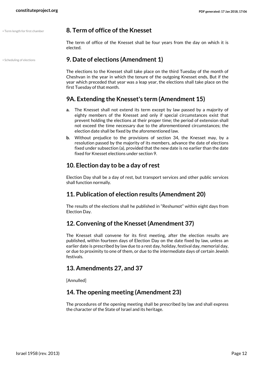#### • Term length for first chamber **8. Term of office of the Knesset**

<span id="page-11-9"></span><span id="page-11-1"></span><span id="page-11-0"></span>The term of office of the Knesset shall be four years from the day on which it is elected.

#### • Scheduling of elections **9. Date of elections (Amendment 1)**

<span id="page-11-8"></span>The elections to the Knesset shall take place on the third Tuesday of the month of Cheshvan in the year in which the tenure of the outgoing Knesset ends, But if the year which preceded that year was a leap year, the elections shall take place on the first Tuesday of that month.

#### <span id="page-11-2"></span>**9A. Extending the Knesset's term (Amendment 15)**

- **a.** The Knesset shall not extend its term except by law passed by a majority of eighty members of the Knesset and only if special circumstances exist that prevent holding the elections at their proper time; the period of extension shall not exceed the time necessary due to the aforementioned circumstances; the election date shall be fixed by the aforementioned law.
- **b.** Without prejudice to the provisions of section 34, the Knesset may, by a resolution passed by the majority of its members, advance the date of elections fixed under subsection (a), provided that the new date is no earlier than the date fixed for Knesset elections under section 9.

#### <span id="page-11-3"></span>**10. Election day to be a day of rest**

Election Day shall be a day of rest, but transport services and other public services shall function normally.

#### <span id="page-11-4"></span>**11. Publication of election results (Amendment 20)**

The results of the elections shall he published in "Reshumot" within eight days from Election Day.

#### <span id="page-11-5"></span>**12. Convening of the Knesset (Amendment 37)**

The Knesset shall convene for its first meeting, after the election results are published, within fourteen days of Election Day on the date fixed by law, unless an earlier date is prescribed by law due to a rest day, holiday, festival day, memorial day, or due to proximity to one of them, or due to the intermediate days of certain Jewish festivals.

#### <span id="page-11-6"></span>**13. Amendments 27, and 37**

[Annulled]

#### <span id="page-11-7"></span>**14. The opening meeting (Amendment 23)**

The procedures of the opening meeting shall be prescribed by law and shall express the character of the State of Israel and its heritage.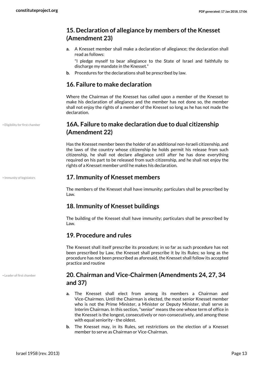#### **15. Declaration of allegiance by members of the Knesset (Amendment 23)**

**a.** A Knesset member shall make a declaration of allegiance; the declaration shall read as follows:

<span id="page-12-1"></span><span id="page-12-0"></span>"I pledge myself to bear allegiance to the State of Israel and faithfully to discharge my mandate in the Knesset."

**b.** Procedures for the declarations shall be prescribed by law.

#### **16. Failure to make declaration**

Where the Chairman of the Knesset has called upon a member of the Knesset to make his declaration of allegiance and the member has not done so, the member shall not enjoy the rights of a member of the Knesset so long as he has not made the declaration.

#### <span id="page-12-7"></span><span id="page-12-2"></span>**16A. Failure to make declaration due to dual citizenship (Amendment 22)**

Has the Knesset member been the holder of an additional non-Israeli citizenship, and the laws of the country whose citizenship he holds permit his release from such citizenship, he shall not declare allegiance until after he has done everything required on his part to be released from such citizenship, and he shall not enjoy the rights of a Knesset member until he makes his declaration.

#### <span id="page-12-8"></span>• Immunity of legislators **17. Immunity of Knesset members**

<span id="page-12-3"></span>The members of the Knesset shall have immunity; particulars shall be prescribed by Law.

#### <span id="page-12-4"></span>**18. Immunity of Knesset buildings**

The building of the Knesset shall have immunity; particulars shall be prescribed by Law.

#### <span id="page-12-5"></span>**19. Procedure and rules**

The Knesset shall itself prescribe its procedure; in so far as such procedure has not been prescribed by Law, the Knesset shall prescribe it by its Rules; so long as the procedure has not been prescribed as aforesaid, the Knesset shall follow its accepted practice and routine

• Leader of first chamber

• Eligibility for first chamber

#### <span id="page-12-9"></span><span id="page-12-6"></span>**20. Chairman and Vice-Chairmen (Amendments 24, 27, 34 and 37)**

- **a.** The Knesset shall elect from among its members a Chairman and Vice-Chairmen. Until the Chairman is elected, the most senior Knesset member who is not the Prime Minister, a Minister or Deputy Minister, shall serve as Interim Chairman. In this section, "senior" means the one whose term of office in the Knesset is the longest, consecutively or non-consecutively, and among those with equal seniority - the oldest.
- **b.** The Knesset may, in its Rules, set restrictions on the election of a Knesset member to serve as Chairman or Vice-Chairman.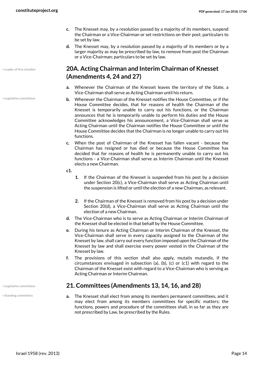- **c.** The Knesset may, by a resolution passed by a majority of its members, suspend the Chairman or a Vice-Chairman or set restrictions on their post; particulars to be set by law.
- **d.** The Knesset may, by a resolution passed by a majority of its members or by a larger majority as may be prescribed by law, to remove from post the Chairman or a Vice-Chairman; particulars to be set by law.

#### <span id="page-13-2"></span><span id="page-13-0"></span>**20A. Acting Chairman and Interim Chairman of Knesset (Amendments 4, 24 and 27)**

- **a.** Whenever the Chairman of the Knesset leaves the territory of the State, a Vice-Chairman shall serve as Acting Chairman until his return.
- **b.** Whenever the Chairman of the Knesset notifies the House Committee, or if the House Committee decides, that for reasons of health the Chairman of the Knesset is temporarily unable to carry out his functions, or the Chairman announces that he is temporarily unable to perform his duties and the House Committee acknowledges his announcement, a Vice-Chairman shall serve as Acting Chairman until the Chairman notifies the House Committee or until the House Committee decides that the Chairman is no longer unable to carry out his functions.
- **c.** When the post of Chairman of the Knesset has fallen vacant because the Chairman has resigned or has died or because the House Committee has decided that for reasons of health he is permanently unable to carry out his functions - a Vice-Chairman shall serve as Interim Chairman until the Knesset elects a new Chairman.
- **c1.**
- **1.** If the Chairman of the Knesset is suspended from his post by a decision under Section 20(c), a Vice-Chairman shall serve as Acting Chairman until the suspension is lifted or until the election of a new Chairman, as relevant.
- **2.** If the Chairman of the Knesset is removed from his post by a decision under Section 20(d), a Vice-Chairman shall serve as Acting Chairman until the election of a new Chairman.
- **d.** The Vice-Chairman who is to serve as Acting Chairman or Interim Chairman of the Knesset shall be elected in that behalf by the House Committee.
- **e.** During his tenure as Acting Chairman or Interim Chairman of the Knesset, the Vice-Chairman shall serve in every capacity assigned to the Chairman of the Knesset by law, shall carry out every function imposed upon the Chairman of the Knesset by law and shall exercise every power vested in the Chairman of the Knesset by law.
- **f.** The provisions of this section shall also apply, mutatis mutandis, if the circumstances envisaged in subsection (a), (b), (c) or (c1) with regard to the Chairman of the Knesset exist with regard to a Vice-Chairman who is serving as Acting Chairman or Interim Chairman.

#### • Legislative committees **21. Committees (Amendments 13, 14, 16, and 28)**

<span id="page-13-3"></span><span id="page-13-1"></span>**a.** The Knesset shall elect from among its members permanent committees, and it may elect from among its members committees for specific matters; the functions, powers and procedure of the committees shall, in so far as they are not prescribed by Law, be prescribed by the Rules.

• Leader of first chamber

• Legislative committees

Israel 1958 (rev. 2013) Page 14

<span id="page-13-4"></span>• Standing committees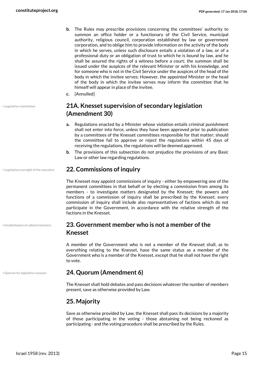- **b.** The Rules may prescribe provisions concerning the committees' authority to summon an office holder or a functionary of the Civil Service, municipal authority, religious council, corporation established by law or government corporation, and to oblige him to provide information on the activity of the body in which he serves, unless such disclosure entails a violation of a law, or of a professional duty or an obligation of trust to which he is bound by law, and he shall be assured the rights of a witness before a court; the summon shall be issued under the auspices of the relevant Minister or with his knowledge, and for someone who is not in the Civil Service under the auspices of the head of the body in which the invitee serves; However, the appointed Minister or the head of the body in which the invitee serves may inform the committee that he himself will appear in place of the invitee.
- **c.** [Annulled]

#### <span id="page-14-6"></span><span id="page-14-0"></span>**21A. Knesset supervision of secondary legislation (Amendment 30)**

- **a.** Regulations enacted by a Minister whose violation entails criminal punishment shall not enter into force, unless they have been approved prior to publication by a committees of the Knesset committees responsible for that matter; should the committee fail to approve or reject the regulations within 45 days of receiving the regulations, the regulations will be deemed approved.
- <span id="page-14-1"></span>**b.** The provisions of this subsection do not prejudice the provisions of any Basic Law or other law regarding regulations.

#### • Legislative oversight of the executive **22. Commissions of inquiry**

<span id="page-14-7"></span>The Knesset may appoint commissions of inquiry - either by empowering one of the permanent committees in that behalf or by electing a commission from among its members - to investigate matters designated by the Knesset; the powers and functions of a commission of inquiry shall be prescribed by the Knesset; every commission of inquiry shall include also representatives of factions which do not participate in the Government, in accordance with the relative strength of the factions in the Knesset.

• Establishment of cabinet/ministers

• Legislative committees

#### <span id="page-14-5"></span><span id="page-14-2"></span>**23. Government member who is not a member of the Knesset**

A member of the Government who is not a member of the Knesset shall, as to everything relating to the Knesset, have the same status as a member of the Government who is a member of the Knesset, except that he shall not have the right to vote.

#### • Quorum for legislative sessions **24. Quorum (Amendment 6)**

<span id="page-14-8"></span><span id="page-14-3"></span>The Knesset shall hold debates and pass decisions whatever the number of members present, save as otherwise provided by Law.

#### <span id="page-14-4"></span>**25. Majority**

Save as otherwise provided by Law, the Knesset shall pass its decisions by a majority of those participating in the voting - those abstaining not being reckoned as participating - and the voting procedure shall be prescribed by the Rules.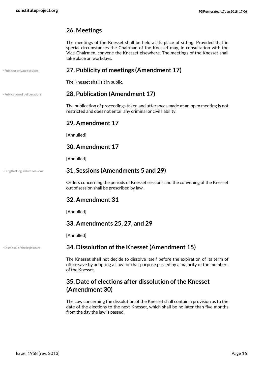#### <span id="page-15-0"></span>**26. Meetings**

The meetings of the Knesset shall be held at its place of sitting: Provided that in special circumstances the Chairman of the Knesset may, in consultation with the Vice-Chairmen, convene the Knesset elsewhere. The meetings of the Knesset shall take place on workdays.

#### • Public or private sessions **27. Publicity of meetings (Amendment 17)**

<span id="page-15-12"></span><span id="page-15-2"></span><span id="page-15-1"></span>The Knesset shall sit in public.

#### • Publication of deliberations **28. Publication (Amendment 17)**

<span id="page-15-13"></span>The publication of proceedings taken and utterances made at an open meeting is not restricted and does not entail any criminal or civil liability.

#### <span id="page-15-3"></span>**29. Amendment 17**

[Annulled]

#### <span id="page-15-4"></span>**30. Amendment 17**

<span id="page-15-5"></span>[Annulled]

#### • Length of legislative sessions **31. Sessions (Amendments 5 and 29)**

<span id="page-15-11"></span>Orders concerning the periods of Knesset sessions and the convening of the Knesset out of session shall be prescribed by law.

#### <span id="page-15-6"></span>**32. Amendment 31**

[Annulled]

#### <span id="page-15-7"></span>**33. Amendments 25, 27, and 29**

<span id="page-15-8"></span>[Annulled]

#### • Dismissal of the legislature **34. Dissolution of the Knesset (Amendment 15)**

<span id="page-15-10"></span>The Knesset shall not decide to dissolve itself before the expiration of its term of office save by adopting a Law for that purpose passed by a majority of the members of the Knesset.

#### <span id="page-15-9"></span>**35. Date of elections after dissolution of the Knesset (Amendment 30)**

The Law concerning the dissolution of the Knesset shall contain a provision as to the date of the elections to the next Knesset, which shall be no later than five months from the day the law is passed.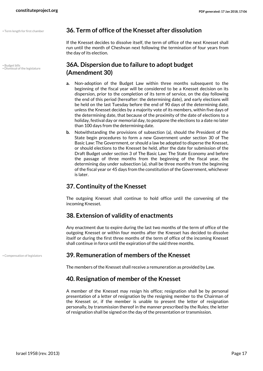<span id="page-16-6"></span>• Budget bills • Dismissal of the legislature

#### • Term length for first chamber **36. Term of office of the Knesset after dissolution**

<span id="page-16-9"></span><span id="page-16-0"></span>If the Knesset decides to dissolve itself, the term of office of the next Knesset shall run until the month of Cheshvan next following the termination of four years from the day of its election.

#### <span id="page-16-8"></span><span id="page-16-1"></span>**36A. Dispersion due to failure to adopt budget (Amendment 30)**

- **a.** Non-adoption of the Budget Law within three months subsequent to the beginning of the fiscal year will be considered to be a Knesset decision on its dispersion, prior to the completion of its term of service, on the day following the end of this period (hereafter: the determining date), and early elections will be held on the last Tuesday before the end of 90 days of the determining date, unless the Knesset decides by a majority vote of its members, within five days of the determining date, that because of the proximity of the date of elections to a holiday, festival day or memorial day, to postpone the elections to a date no later than 100 days from the determining date.
- **b.** Notwithstanding the provisions of subsection (a), should the President of the State begin procedures to form a new Government under section 30 of The Basic Law: The Government, or should a law be adopted to disperse the Knesset, or should elections to the Knesset be held, after the date for submission of the Draft Budget under section 3 of The Basic Law: The State Economy and before the passage of three months from the beginning of the fiscal year, the determining day under subsection (a), shall be three months from the beginning of the fiscal year or 45 days from the constitution of the Government, whichever is later.

#### <span id="page-16-2"></span>**37. Continuity of the Knesset**

The outgoing Knesset shall continue to hold office until the convening of the incoming Knesset.

#### <span id="page-16-3"></span>**38. Extension of validity of enactments**

Any enactment due to expire during the last two months of the term of office of the outgoing Knesset or within four months after the Knesset has decided to dissolve itself or during the first three months of the term of office of the incoming Knesset shall continue in force until the expiration of the said three months.

#### • Compensation of legislators **39. Remuneration of members of the Knesset**

<span id="page-16-7"></span><span id="page-16-4"></span>The members of the Knesset shall receive a remuneration as provided by Law.

#### <span id="page-16-5"></span>**40. Resignation of member of the Knesset**

A member of the Knesset may resign his office; resignation shall be by personal presentation of a letter of resignation by the resigning member to the Chairman of the Knesset or, if the member is unable to present the letter of resignation personally, by transmission thereof in the manner prescribed by the Rules; the letter of resignation shall be signed on the day of the presentation or transmission.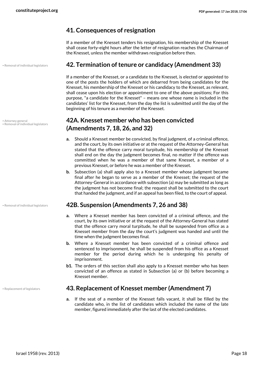#### <span id="page-17-0"></span>**41. Consequences of resignation**

If a member of the Knesset tenders his resignation, his membership of the Knesset shall cease forty-eight hours after the letter of resignation reaches the Chairman of the Knesset, unless the member withdraws resignation before then.

#### • Removal of individual legislators **42. Termination of tenure or candidacy (Amendment 33)**

<span id="page-17-1"></span>If a member of the Knesset, or a candidate to the Knesset, is elected or appointed to one of the posts the holders of which are debarred from being candidates for the Knesset, his membership of the Knesset or his candidacy to the Knesset, as relevant, shall cease upon his election or appointment to one of the above positions; For this purpose, "a candidate for the Knesset" – means one whose name is included in the candidates' list for the Knesset, from the day the list is submitted until the day of the beginning of his tenure as a member of the Knesset.

#### <span id="page-17-2"></span>**42A. Knesset member who has been convicted (Amendments 7, 18, 26, and 32)**

- **a.** Should a Knesset member be convicted, by final judgment, of a criminal offence, and the court, by its own initiative or at the request of the Attorney-General has stated that the offence carry moral turpitude, his membership of the Knesset shall end on the day the judgment becomes final, no matter if the offence was committed when he was a member of that same Knesset, a member of a previous Knesset, or before he was a member of the Knesset.
- **b.** Subsection (a) shall apply also to a Knesset member whose judgment became final after he began to serve as a member of the Knesset; the request of the Attorney-General in accordance with subsection (a) may be submitted as long as the judgment has not become final; the request shall be submitted to the court that handed the judgment, and if an appeal has been filed, to the court of appeal.

#### • Removal of individual legislators **42B. Suspension (Amendments 7, 26 and 38)**

- <span id="page-17-6"></span><span id="page-17-3"></span>**a.** Where a Knesset member has been convicted of a criminal offence, and the court, by its own initiative or at the request of the Attorney-General has stated that the offence carry moral turpitude, he shall be suspended from office as a Knesset member from the day the court's judgment was handed and until the time when the judgment becomes final.
- **b.** Where a Knesset member has been convicted of a criminal offence and sentenced to imprisonment, he shall be suspended from his office as a Knesset member for the period during which he is undergoing his penalty of imprisonment.
- **b1.** The orders of this section shall also apply to a Knesset member who has been convicted of an offence as stated in Subsection (a) or (b) before becoming a Knesset member.

#### • Replacement of legislators **43. Replacement of Knesset member (Amendment 7)**

<span id="page-17-7"></span><span id="page-17-4"></span>**a.** If the seat of a member of the Knesset falls vacant, it shall be filled by the candidate who, in the list of candidates which included the name of the late member, figured immediately after the last of the elected candidates.

<span id="page-17-5"></span>• Attorney general • Removal of individual legislators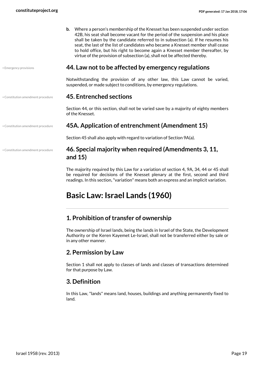**b.** Where a person's membership of the Knesset has been suspended under section 42B, his seat shall become vacant for the period of the suspension and his place shall be taken by the candidate referred to in subsection (a). If he resumes his seat, the last of the list of candidates who became a Knesset member shall cease to hold office, but his right to become again a Knesset member thereafter, by virtue of the provision of subsection (a), shall not be affected thereby.

#### <span id="page-18-9"></span>• Emergency provisions **44. Law not to be affected by emergency regulations**

<span id="page-18-0"></span>Notwithstanding the provision of any other law, this Law cannot be varied, suspended, or made subject to conditions, by emergency regulations.

#### • Constitution amendment procedure **45. Entrenched sections**

<span id="page-18-2"></span><span id="page-18-1"></span>Section 44, or this section, shall not be varied save by a majority of eighty members of the Knesset.

• Constitution amendment procedure

#### • Constitution amendment procedure **45A. Application of entrenchment (Amendment 15)**

Section 45 shall also apply with regard to variation of Section 9A(a).

#### <span id="page-18-8"></span><span id="page-18-3"></span>**46. Special majority when required (Amendments 3, 11, and 15)**

The majority required by this Law for a variation of section 4, 9A, 34, 44 or 45 shall be required for decisions of the Knesset plenary at the first, second and third readings. In this section, "variation" means both an express and an implicit variation.

# <span id="page-18-4"></span>**Basic Law: Israel Lands (1960)**

#### <span id="page-18-5"></span>**1. Prohibition of transfer of ownership**

The ownership of Israel lands, being the lands in Israel of the State, the Development Authority or the Keren Kayemet Le-Israel, shall not be transferred either by sale or in any other manner.

#### <span id="page-18-6"></span>**2. Permission by Law**

Section 1 shall not apply to classes of lands and classes of transactions determined for that purpose by Law.

#### <span id="page-18-7"></span>**3. Definition**

In this Law, "lands" means land, houses, buildings and anything permanently fixed to land.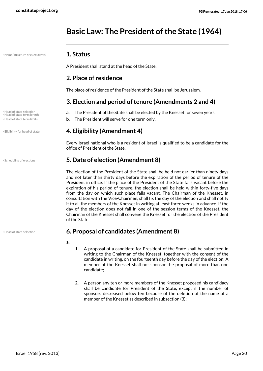# <span id="page-19-0"></span>**Basic Law: The President of the State (1964)**

• Name/structure of executive(s) **1. Status**

<span id="page-19-11"></span><span id="page-19-1"></span>A President shall stand at the head of the State.

#### <span id="page-19-2"></span>**2. Place of residence**

The place of residence of the President of the State shall be Jerusalem.

#### <span id="page-19-10"></span><span id="page-19-9"></span><span id="page-19-3"></span>**3. Election and period of tenure (Amendments 2 and 4)**

- Head of state selection **a.** The President of the State shall be elected by the Knesset for seven years.
- Head of state term limits **b.** The President will serve for one term only.

#### • Eligibility for head of state **4. Eligibility (Amendment 4)**

<span id="page-19-7"></span><span id="page-19-5"></span><span id="page-19-4"></span>Every Israel national who is a resident of Israel is qualified to be a candidate for the office of President of the State.

#### • Scheduling of elections **5. Date of election (Amendment 8)**

The election of the President of the State shall be held not earlier than ninety days and not later than thirty days before the expiration of the period of tenure of the President in office. If the place of the President of the State falls vacant before the expiration of his period of tenure, the election shall be held within forty-five days from the day on which such place falls vacant. The Chairman of the Knesset, in consultation with the Vice-Chairmen, shall fix the day of the election and shall notify it to all the members of the Knesset in writing at least three weeks in advance. If the day of the election does not fall in one of the session terms of the Knesset, the Chairman of the Knesset shall convene the Knesset for the election of the President of the State.

#### • Head of state selection **6. Proposal of candidates (Amendment 8)**

- **a.**
- <span id="page-19-6"></span>**1.** A proposal of a candidate for President of the State shall be submitted in writing to the Chairman of the Knesset, together with the consent of the candidate in writing, on the fourteenth day before the day of the election; A member of the Knesset shall not sponsor the proposal of more than one candidate;
- **2.** A person any ten or more members of the Knesset proposed his candidacy shall be candidate for President of the State, except if the number of sponsors decreased below ten because of the deletion of the name of a member of the Knesset as described in subsection (3);

• Head of state term length

<span id="page-19-12"></span>

<span id="page-19-8"></span>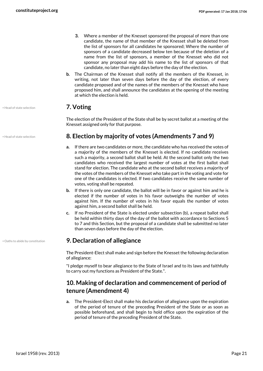- **3.** Where a member of the Knesset sponsored the proposal of more than one candidate, the name of that member of the Knesset shall be deleted from the list of sponsors for all candidates he sponsored; Where the number of sponsors of a candidate decreased below ten because of the deletion of a name from the list of sponsors, a member of the Knesset who did not sponsor any proposal may add his name to the list of sponsors of that candidate, no later than eight days before the day of the election.
- **b.** The Chairman of the Knesset shall notify all the members of the Knesset, in writing, not later than seven days before the day of the election, of every candidate proposed and of the names of the members of the Knesset who have proposed him, and shall announce the candidates at the opening of the meeting at which the election is held.

#### • Head of state selection **7. Voting**

<span id="page-20-1"></span><span id="page-20-0"></span>The election of the President of the State shall be by secret ballot at a meeting of the Knesset assigned only for that purpose.

#### • Head of state selection **8. Election by majority of votes (Amendments 7 and 9)**

- **a.** If there are two candidates or more, the candidate who has received the votes of a majority of the members of the Knesset is elected. If no candidate receives such a majority, a second ballot shall be held. At the second ballot only the two candidates who received the largest number of votes at the first ballot shall stand for election. The candidate who at the second ballot receives a majority of the votes of the members of the Knesset who take part in the voting and vote for one of the candidates is elected. If two candidates receive the same number of votes, voting shall be repeated.
- **b.** If there is only one candidate, the ballot will be in favor or against him and he is elected if the number of votes in his favor outweighs the number of votes against him. If the number of votes in his favor equals the number of votes against him, a second ballot shall be held.
- **c.** If no President of the State is elected under subsection (b), a repeat ballot shall be held within thirty days of the day of the ballot with accordance to Sections 5 to 7 and this Section, but the proposal of a candidate shall be submitted no later than seven days before the day of the election.

#### • Oaths to abide by constitution **9. Declaration of allegiance**

<span id="page-20-5"></span><span id="page-20-2"></span>The President-Elect shall make and sign before the Knesset the following declaration of allegiance:

"I pledge myself to bear allegiance to the State of Israel and to its laws and faithfully to carry out my functions as President of the State.".

#### <span id="page-20-3"></span>**10. Making of declaration and commencement of period of tenure (Amendment 4)**

**a.** The President-Elect shall make his declaration of allegiance upon the expiration of the period of tenure of the preceding President of the State or as soon as possible beforehand, and shall begin to hold office upon the expiration of the period of tenure of the preceding President of the State.

<span id="page-20-4"></span>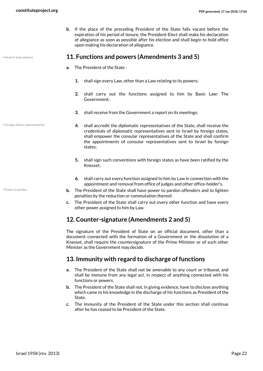<span id="page-21-0"></span>**b.** If the place of the preceding President of the State falls vacant before the expiration of his period of tenure, the President-Elect shall make his declaration of allegiance as soon as possible after his election and shall begin to hold office upon making his declaration of allegiance.

<span id="page-21-4"></span>

<span id="page-21-3"></span>• Foreign affairs representative

<span id="page-21-5"></span>• Power to pardon

- Head of state powers **11. Functions and powers (Amendments 3 and 5)**
	- **a.** The President of the State
		- **1.** shall sign every Law, other than a Law relating to its powers;
		- **2.** shall carry out the functions assigned to him by Basic Law: The Government;
		- **3.** shall receive from the Government a report on its meetings;
		- **4.** shall accredit the diplomatic representatives of the State, shall receive the credentials of diplomatic representatives sent to Israel by foreign states, shall empower the consular representatives of the State and shall confirm the appointments of consular representatives sent to Israel by foreign states;
		- **5.** shall sign such conventions with foreign states as have been ratified by the Knesset;
		- **6.** shall carry out every function assigned to him by Law in connection with the appointment and removal from office of judges and other office-holder's.
	- **b.** The President of the State shall have power to pardon offenders and to lighten penalties by the reduction or commutation thereof.
	- **c.** The President of the State shall carry out every other function and have every other power assigned to him by Law.

#### <span id="page-21-1"></span>**12. Counter-signature (Amendments 2 and 5)**

The signature of the President of State on an official document, other than a document connected with the formation of a Government or the dissolution of a Knesset, shall require the countersignature of the Prime Minister or of such other Minister as the Government may decide.

#### <span id="page-21-2"></span>**13. Immunity with regard to discharge of functions**

- **a.** The President of the State shall not be amenable to any court or tribunal, and shall be immune from any legal act, in respect of anything connected with his functions or powers.
- **b.** The President of the State shall not, in giving evidence, have to disclose anything which came to his knowledge in the discharge of his functions as President of the State.
- **c.** The immunity of the President of the State under this section shall continue after he has ceased to be President of the State.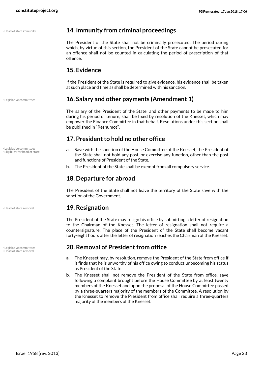|  | Head of state immunity |  |
|--|------------------------|--|

#### <span id="page-22-8"></span><span id="page-22-0"></span>**14. Immunity from criminal proceedings**

The President of the State shall not be criminally prosecuted. The period during which, by virtue of this section, the President of the State cannot be prosecuted for an offence shall not be counted in calculating the period of prescription of that offence.

#### <span id="page-22-1"></span>**15. Evidence**

<span id="page-22-2"></span>If the President of the State is required to give evidence, his evidence shall be taken at such place and time as shall be determined with his sanction.

#### • Legislative committees **16. Salary and other payments (Amendment 1)**

The salary of the President of the State, and other payments to be made to him during his period of tenure, shall be fixed by resolution of the Knesset, which may empower the Finance Committee in that behalf. Resolutions under this section shall be published in "Reshumot".

#### <span id="page-22-3"></span>**17. President to hold no other office**

- <span id="page-22-7"></span>**a.** Save with the sanction of the House Committee of the Knesset, the President of the State shall not hold any post, or exercise any function, other than the post and functions of President of the State.
- **b.** The President of the State shall be exempt from all compulsory service.

#### <span id="page-22-4"></span>**18. Departure for abroad**

<span id="page-22-5"></span>The President of the State shall not leave the territory of the State save with the sanction of the Government.

#### • Head of state removal **19. Resignation**

The President of the State may resign his office by submitting a letter of resignation to the Chairman of the Knesset. The letter of resignation shall not require a countersignature. The place of the President of the State shall become vacant forty-eight hours after the letter of resignation reaches the Chairman of the Knesset.

#### <span id="page-22-10"></span><span id="page-22-6"></span>• Legislative committees **20. Removal of President from office**

- **a.** The Knesset may, by resolution, remove the President of the State from office if it finds that he is unworthy of his office owing to conduct unbecoming his status as President of the State.
- **b.** The Knesset shall not remove the President of the State from office, save following a complaint brought before the House Committee by at least twenty members of the Knesset and upon the proposal of the House Committee passed by a three-quarters majority of the members of the Committee. A resolution by the Knesset to remove the President from office shall require a three-quarters majority of the members of the Knesset.

• Legislative committees • Eligibility for head of state

<span id="page-22-9"></span>• Legislative committees<br>• Head of state removal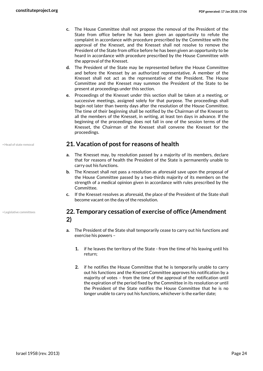- **c.** The House Committee shall not propose the removal of the President of the State from office before he has been given an opportunity to refute the complaint in accordance with procedure prescribed by the Committee with the approval of the Knesset, and the Knesset shall not resolve to remove the President of the State from office before he has been given an opportunity to be heard in accordance with procedure prescribed by the House Committee with the approval of the Knesset.
- **d.** The President of the State may be represented before the House Committee and before the Knesset by an authorized representative. A member of the Knesset shall not act as the representative of the President. The House Committee and the Knesset may summon the President of the State to be present at proceedings under this section.
- **e.** Proceedings of the Knesset under this section shall be taken at a meeting, or successive meetings, assigned solely for that purpose. The proceedings shall begin not later than twenty days after the resolution of the House Committee. The time of their beginning shall be notified by the Chairman of the Knesset to all the members of the Knesset, in writing, at least ten days in advance. If the beginning of the proceedings does not fall in one of the session terms of the Knesset, the Chairman of the Knesset shall convene the Knesset for the proceedings.

#### • Head of state removal **21. Vacation of post for reasons of health**

- <span id="page-23-0"></span>**a.** The Knesset may, by resolution passed by a majority of its members, declare that for reasons of health the President of the State is permanently unable to carry out his functions.
- **b.** The Knesset shall not pass a resolution as aforesaid save upon the proposal of the House Committee passed by a two-thirds majority of its members on the strength of a medical opinion given in accordance with rules prescribed by the Committee.
- **c.** If the Knesset resolves as aforesaid, the place of the President of the State shall become vacant on the day of the resolution.

#### <span id="page-23-3"></span><span id="page-23-1"></span>**22. Temporary cessation of exercise of office (Amendment 2)**

- **a.** The President of the State shall temporarily cease to carry out his functions and exercise his powers –
	- **1.** if he leaves the territory of the State from the time of his leaving until his return;
	- **2.** if he notifies the House Committee that he is temporarily unable to carry out his functions and the Knesset Committee approves his notification by a majority of votes – from the time of the approval of the notification until the expiration of the period fixed by the Committee in its resolution or until the President of the State notifies the House Committee that he is no longer unable to carry out his functions, whichever is the earlier date;

<span id="page-23-2"></span>

• Legislative committees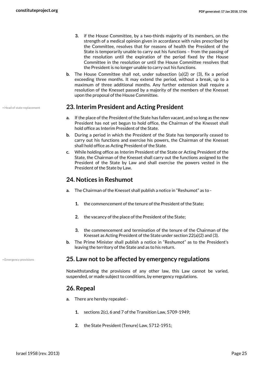- **3.** if the House Committee, by a two-thirds majority of its members, on the strength of a medical opinion given in accordance with rules prescribed by the Committee, resolves that for reasons of health the President of the State is temporarily unable to carry out his functions – from the passing of the resolution until the expiration of the period fixed by the House Committee in the resolution or until the House Committee resolves that the President is no longer unable to carry out his functions.
- **b.** The House Committee shall not, under subsection (a)(2) or (3), fix a period exceeding three months. It may extend the period, without a break, up to a maximum of three additional months. Any further extension shall require a resolution of the Knesset passed by a majority of the members of the Knesset upon the proposal of the House Committee.

#### • Head of state replacement **23. Interim President and Acting President**

- <span id="page-24-5"></span><span id="page-24-0"></span>**a.** If the place of the President of the State has fallen vacant, and so long as the new President has not yet begun to hold office, the Chairman of the Knesset shall hold office as Interim President of the State.
- **b.** During a period in which the President of the State has temporarily ceased to carry out his functions and exercise his powers, the Chairman of the Knesset shall hold office as Acting President of the State.
- **c.** While holding office as Interim President of the State or Acting President of the State, the Chairman of the Knesset shall carry out the functions assigned to the President of the State by Law and shall exercise the powers vested in the President of the State by Law.

#### <span id="page-24-1"></span>**24. Notices in Reshumot**

- **a.** The Chairman of the Knesset shall publish a notice in "Reshumot" as to
	- **1.** the commencement of the tenure of the President of the State;
	- **2.** the vacancy of the place of the President of the State;
	- **3.** the commencement and termination of the tenure of the Chairman of the Knesset as Acting President of the State under section 22(a)(2) and (3).
- <span id="page-24-2"></span>**b.** The Prime Minister shall publish a notice in "Reshumot" as to the President's leaving the territory of the State and as to his return.

#### • Emergency provisions **25. Law not to be affected by emergency regulations**

Notwithstanding the provisions of any other law, this Law cannot be varied, suspended, or made subject to conditions, by emergency regulations.

#### <span id="page-24-3"></span>**26. Repeal**

- **a.** There are hereby repealed
	- **1.** sections 2(c), 6 and 7 of the Transition Law, 5709-1949;
	- **2.** the State President (Tenure) Law, 5712-1951;

<span id="page-24-4"></span>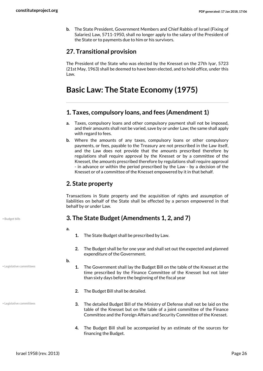**b.** The State President, Government Members and Chief Rabbis of Israel (Fixing of Salaries) Law, 5711-1950, shall no longer apply to the salary of the President of the State or to payments due to him or his survivors.

#### <span id="page-25-0"></span>**27. Transitional provision**

The President of the State who was elected by the Knesset on the 27th Iyar, 5723 (21st May, 1963) shall be deemed to have been elected, and to hold office, under this Law.

# <span id="page-25-1"></span>**Basic Law: The State Economy (1975)**

#### <span id="page-25-2"></span>**1. Taxes, compulsory loans, and fees (Amendment 1)**

- **a.** Taxes, compulsory loans and other compulsory payment shall not be imposed, and their amounts shall not be varied, save by or under Law; the same shall apply with regard to fees.
- **b.** Where the amounts of any taxes, compulsory loans or other compulsory payments, or fees, payable to the Treasury are not prescribed in the Law itself, and the Law does not provide that the amounts prescribed therefore by regulations shall require approval by the Knesset or by a committee of the Knesset, the amounts prescribed therefore by regulations shall require approval - in advance or within the period prescribed by the Law - by a decision of the Knesset or of a committee of the Knesset empowered by it in that behalf.

#### <span id="page-25-3"></span>**2. State property**

Transactions in State property and the acquisition of rights and assumption of liabilities on behalf of the State shall be effected by a person empowered in that behalf by or under Law.

#### <span id="page-25-5"></span>• Budget bills **3. The State Budget (Amendments 1, 2, and 7)**

**a.** 

- <span id="page-25-4"></span>**1.** The State Budget shall be prescribed by Law.
- **2.** The Budget shall be for one year and shall set out the expected and planned expenditure of the Government.

**b.** 

- **1.** The Government shall lay the Budget Bill on the table of the Knesset at the time prescribed by the Finance Committee of the Knesset but not later than sixty days before the beginning of the fiscal year
- **2.** The Budget Bill shall be detailed.
- **3.** The detailed Budget Bill of the Ministry of Defense shall not be laid on the table of the Knesset but on the table of a joint committee of the Finance Committee and the Foreign Affairs and Security Committee of the Knesset.
	- **4.** The Budget Bill shall be accompanied by an estimate of the sources for financing the Budget.

• Legislative committees

<span id="page-25-6"></span>• Legislative committees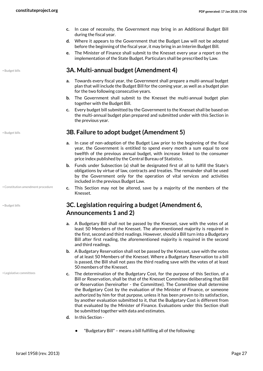- **c.** In case of necessity, the Government may bring in an Additional Budget Bill during the fiscal year.
- **d.** Where it appears to the Government that the Budget Law will not be adopted before the beginning of the fiscal year, it may bring in an Interim Budget Bill.
- <span id="page-26-0"></span>**e.** The Minister of Finance shall submit to the Knesset every year a report on the implementation of the State Budget. Particulars shall be prescribed by Law.

#### • Budget bills **3A. Multi-annual budget (Amendment 4)**

- **a.** Towards every fiscal year, the Government shall prepare a multi-annual budget plan that will include the Budget Bill for the coming year, as well as a budget plan for the two following consecutive years.
- **b.** The Government shall submit to the Knesset the multi-annual budget plan together with the Budget Bill.
- **c.** Every budget bill submitted by the Government to the Knesset shall be based on the multi-annual budget plan prepared and submitted under with this Section in the previous year.

#### • Budget bills **3B. Failure to adopt budget (Amendment 5)**

- <span id="page-26-1"></span>**a.** In case of non-adoption of the Budget Law prior to the beginning of the fiscal year, the Government is entitled to spend every month a sum equal to one twelfth of the previous annual budget, with increase linked to the consumer price index published by the Central Bureau of Statistics.
- **b.** Funds under Subsection (a) shall be designated first of all to fulfill the State's obligations by virtue of law, contracts and treaties. The remainder shall be used by the Government only for the operation of vital services and activities included in the previous Budget Law.
- <span id="page-26-4"></span>**c.** This Section may not be altered, save by a majority of the members of the Knesset.

#### <span id="page-26-2"></span>**3C. Legislation requiring a budget (Amendment 6, Announcements 1 and 2)**

- **a.** A Budgetary Bill shall not be passed by the Knesset, save with the votes of at least 50 Members of the Knesset. The aforementioned majority is required in the first, second and third readings. However, should a Bill turn into a Budgetary Bill after first reading, the aforementioned majority is required in the second and third readings.
- **b.** A Budgetary Reservation shall not be passed by the Knesset, save with the votes of at least 50 Members of the Knesset. Where a Budgetary Reservation to a bill is passed, the Bill shall not pass the third reading save with the votes of at least 50 members of the Knesset.
- <span id="page-26-5"></span>**c.** The determination of the Budgetary Cost, for the purpose of this Section, of a Bill or Reservation, shall be that of the Knesset Committee deliberating that Bill or Reservation (hereinafter - the Committee). The Committee shall determine the Budgetary Cost by the evaluation of the Minister of Finance, or someone authorized by him for that purpose, unless it has been proven to its satisfaction, by another evaluation submitted to it, that the Budgetary Cost is different from that evaluated by the Minister of Finance. Evaluations under this Section shall be submitted together with data and estimates.
- **d.** In this Section
	- **•** "Budgetary Bill" means a bill fulfilling all of the following:

• Constitution amendment procedure

<span id="page-26-3"></span>• Budget bills

• Legislative committees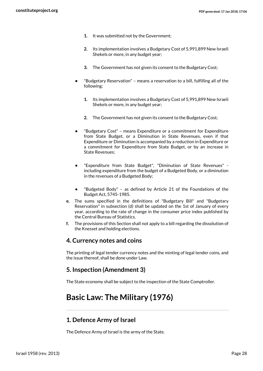- **1.** It was submitted not by the Government;
- **2.** Its implementation involves a Budgetary Cost of 5,991,899 New Israeli Shekels or more, in any budget year;
- **3.** The Government has not given its consent to the Budgetary Cost;
- **•** "Budgetary Reservation" means a reservation to a bill, fulfilling all of the following:
	- **1.** Its implementation involves a Budgetary Cost of 5,991,899 New Israeli Shekels or more, in any budget year;
	- **2.** The Government has not given its consent to the Budgetary Cost;
- **•** "Budgetary Cost" means Expenditure or a commitment for Expenditure from State Budget, or a Diminution in State Revenues, even if that Expenditure or Diminution is accompanied by a reduction in Expenditure or a commitment for Expenditure from State Budget, or by an increase in State Revenues;
- **•** "Expenditure from State Budget", "Diminution of State Revenues" including expenditure from the budget of a Budgeted Body, or a diminution in the revenues of a Budgeted Body;
- **•** "Budgeted Body" as defined by Article 21 of the Foundations of the Budget Act, 5745-1985.
- **e.** The sums specified in the definitions of "Budgetary Bill" and "Budgetary Reservation" in subsection (d) shall be updated on the 1st of January of every year, according to the rate of change in the consumer price index published by the Central Bureau of Statistics.
- **f.** The provisions of this Section shall not apply to a bill regarding the dissolution of the Knesset and holding elections.

#### <span id="page-27-0"></span>**4. Currency notes and coins**

The printing of legal tender currency notes and the minting of legal tender coins, and the issue thereof, shall be done under Law.

#### <span id="page-27-1"></span>**5. Inspection (Amendment 3)**

<span id="page-27-2"></span>The State economy shall be subject to the inspection of the State Comptroller.

# **Basic Law: The Military (1976)**

#### <span id="page-27-3"></span>**1. Defence Army of Israel**

The Defence Army of Israel is the army of the State.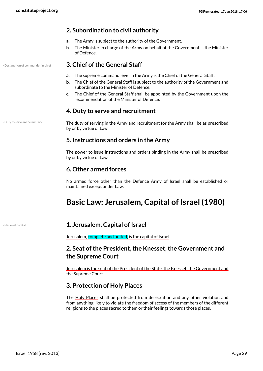#### <span id="page-28-0"></span>**2. Subordination to civil authority**

- **a.** The Army is subject to the authority of the Government.
- **b.** The Minister in charge of the Army on behalf of the Government is the Minister of Defence.

#### • Designation of commander in chief **3. Chief of the General Staff**

- <span id="page-28-9"></span><span id="page-28-1"></span>**a.** The supreme command level in the Army is the Chief of the General Staff.
- **b.** The Chief of the General Staff is subject to the authority of the Government and subordinate to the Minister of Defence.
- **c.** The Chief of the General Staff shall be appointed by the Government upon the recommendation of the Minister of Defence.

#### <span id="page-28-2"></span>**4. Duty to serve and recruitment**

• Duty to serve in the military

<span id="page-28-10"></span>The duty of serving in the Army and recruitment for the Army shall be as prescribed by or by virtue of Law.

#### <span id="page-28-3"></span>**5. Instructions and orders in the Army**

The power to issue instructions and orders binding in the Army shall be prescribed by or by virtue of Law.

#### <span id="page-28-4"></span>**6. Other armed forces**

No armed force other than the Defence Army of Israel shall be established or maintained except under Law.

# <span id="page-28-5"></span>**Basic Law: Jerusalem, Capital of Israel (1980)**

<span id="page-28-11"></span>

#### • National capital **1. Jerusalem, Capital of Israel**

<span id="page-28-6"></span>Jerusalem, complete and united, is the capital of Israel.

#### <span id="page-28-7"></span>**2. Seat of the President, the Knesset, the Government and the Supreme Court**

Jerusalem is the seat of the President of the State, the Knesset, the Government and the Supreme Court.

#### <span id="page-28-8"></span>**3. Protection of Holy Places**

The Holy Places shall be protected from desecration and any other violation and from anything likely to violate the freedom of access of the members of the different religions to the places sacred to them or their feelings towards those places.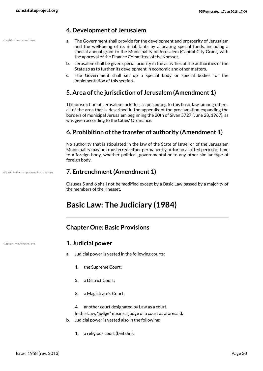• Legislative committees

#### <span id="page-29-0"></span>**4. Development of Jerusalem**

- <span id="page-29-8"></span>**a.** The Government shall provide for the development and prosperity of Jerusalem and the well-being of its inhabitants by allocating special funds, including a special annual grant to the Municipality of Jerusalem (Capital City Grant) with the approval of the Finance Committee of the Knesset.
- **b.** Jerusalem shall be given special priority in the activities of the authorities of the State so as to further its development in economic and other matters.
- **c.** The Government shall set up a special body or special bodies for the implementation of this section.

#### <span id="page-29-1"></span>**5. Area of the jurisdiction of Jerusalem (Amendment 1)**

The jurisdiction of Jerusalem includes, as pertaining to this basic law, among others, all of the area that is described in the appendix of the proclamation expanding the borders of municipal Jerusalem beginning the 20th of Sivan 5727 (June 28, 1967), as was given according to the Cities' Ordinance.

#### <span id="page-29-2"></span>**6. Prohibition of the transfer of authority (Amendment 1)**

No authority that is stipulated in the law of the State of Israel or of the Jerusalem Municipality may be transferred either permanently or for an allotted period of time to a foreign body, whether political, governmental or to any other similar type of foreign body.

#### • Constitution amendment procedure **7. Entrenchment (Amendment 1)**

<span id="page-29-7"></span><span id="page-29-3"></span>Clauses 5 and 6 shall not be modified except by a Basic Law passed by a majority of the members of the Knesset.

# <span id="page-29-4"></span>**Basic Law: The Judiciary (1984)**

#### <span id="page-29-6"></span><span id="page-29-5"></span>**Chapter One: Basic Provisions**

<span id="page-29-9"></span>

#### • Structure of the courts **1. Judicial power**

- **a.** Judicial power is vested in the following courts:
	- **1.** the Supreme Court;
	- **2.** a District Court;
	- **3.** a Magistrate's Court;
	- **4.** another court designated by Law as a court. In this Law, "judge" means a judge of a court as aforesaid.
- **b.** Judicial power is vested also in the following:
	- **1.** a religious court (beit din);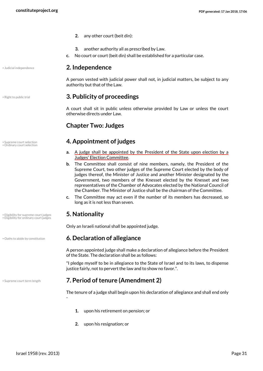- **2.** any other court (beit din):
- <span id="page-30-0"></span>**3.** another authority all as prescribed by Law.
- **c.** No court or court (beit din) shall be established for a particular case.

<span id="page-30-9"></span>

#### • Judicial independence **2. Independence**

<span id="page-30-1"></span>A person vested with judicial power shall not, in judicial matters, be subject to any authority but that of the Law.

#### <span id="page-30-12"></span>• Right to public trial **3. Publicity of proceedings**

A court shall sit in public unless otherwise provided by Law or unless the court otherwise directs under Law.

#### <span id="page-30-3"></span><span id="page-30-2"></span>**Chapter Two: Judges**

#### • Supreme court selection **4. Appointment of judges**

- <span id="page-30-13"></span><span id="page-30-11"></span>**a.** A judge shall be appointed by the President of the State upon election by a Judges' Election Committee.
- **b.** The Committee shall consist of nine members, namely, the President of the Supreme Court, two other judges of the Supreme Court elected by the body of judges thereof, the Minister of Justice and another Minister designated by the Government, two members of the Knesset elected by the Knesset and two representatives of the Chamber of Advocates elected by the National Council of the Chamber. The Minister of Justice shall be the chairman of the Committee.
- <span id="page-30-4"></span>**c.** The Committee may act even if the number of its members has decreased, so long as it is not less than seven.

#### • Eligibility for supreme court judges **5. Nationality**

-

<span id="page-30-8"></span><span id="page-30-7"></span><span id="page-30-5"></span>Only an Israeli national shall be appointed judge.

#### • Oaths to abide by constitution **6. Declaration of allegiance**

<span id="page-30-10"></span>A person appointed judge shall make a declaration of allegiance before the President of the State. The declaration shall be as follows:

"I pledge myself to be in allegiance to the State of Israel and to its laws, to dispense justice fairly, not to pervert the law and to show no favor.".

#### • Supreme court term length **7. Period of tenure (Amendment 2)**

<span id="page-30-14"></span>The tenure of a judge shall begin upon his declaration of allegiance and shall end only

- <span id="page-30-6"></span>**1.** upon his retirement on pension; or
- **2.** upon his resignation; or

• Ordinary court selection

• Eligibility for ordinary court judges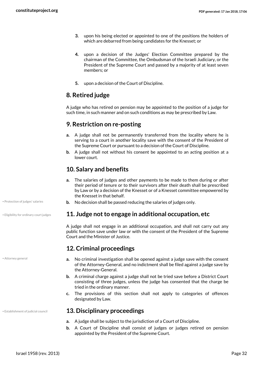- **3.** upon his being elected or appointed to one of the positions the holders of which are debarred from being candidates for the Knesset; or
- **4.** upon a decision of the Judges' Election Committee prepared by the chairman of the Committee, the Ombudsman of the Israeli Judiciary, or the President of the Supreme Court and passed by a majority of at least seven members; or
- <span id="page-31-0"></span>**5.** upon a decision of the Court of Discipline.

#### **8. Retired judge**

A judge who has retired on pension may be appointed to the position of a judge for such time, in such manner and on such conditions as may be prescribed by Law.

#### <span id="page-31-1"></span>**9. Restriction on re-posting**

- **a.** A judge shall not be permanently transferred from the locality where he is serving to a court in another locality save with the consent of the President of the Supreme Court or pursuant to a decision of the Court of Discipline.
- **b.** A judge shall not without his consent be appointed to an acting position at a lower court.

#### <span id="page-31-2"></span>**10. Salary and benefits**

- <span id="page-31-9"></span>**a.** The salaries of judges and other payments to be made to them during or after their period of tenure or to their survivors after their death shall be prescribed by Law or by a decision of the Knesset or of a Knesset committee empowered by the Knesset in that behalf.
- Protection of judges' salaries **b.** No decision shall be passed reducing the salaries of judges only.

#### • Eligibility for ordinary court judges **11. Judge not to engage in additional occupation, etc**

<span id="page-31-7"></span><span id="page-31-3"></span>A judge shall not engage in an additional occupation, and shall not carry out any public function save under law or with the consent of the President of the Supreme Court and the Minister of Justice.

#### <span id="page-31-4"></span>**12. Criminal proceedings**

- **a.** No criminal investigation shall be opened against a judge save with the consent of the Attorney-General, and no indictment shall be filed against a judge save by the Attorney-General.
- **b.** A criminal charge against a judge shall not be tried save before a District Court consisting of three judges, unless the judge has consented that the charge be tried in the ordinary manner.
- <span id="page-31-5"></span>**c.** The provisions of this section shall not apply to categories of offences designated by Law.

#### • Establishment of judicial council **13. Disciplinary proceedings**

- <span id="page-31-8"></span>**a.** A judge shall be subject to the jurisdiction of a Court of Discipline.
- **b.** A Court of Discipline shall consist of judges or judges retired on pension appointed by the President of the Supreme Court.

<span id="page-31-6"></span>• Attorney general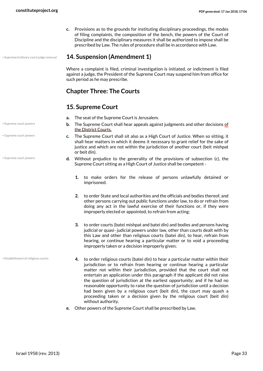**c.** Provisions as to the grounds for instituting disciplinary proceedings, the modes of filing complaints, the composition of the bench, the powers of the Court of Discipline and the disciplinary measures it shall be authorized to impose shall be prescribed by Law. The rules of procedure shall be in accordance with Law.

#### • Supreme/ordinary court judge removal **14. Suspension (Amendment 1)**

<span id="page-32-5"></span><span id="page-32-0"></span>Where a complaint is filed, criminal investigation is initiated, or indictment is filed against a judge, the President of the Supreme Court may suspend him from office for such period as he may prescribe.

#### <span id="page-32-1"></span>**Chapter Three: The Courts**

#### <span id="page-32-2"></span>**15. Supreme Court**

- **a.** The seat of the Supreme Court is Jerusalem.
- **b.** The Supreme Court shall hear appeals against judgments and other decisions of the District Courts.
- **c.** The Supreme Court shall sit also as a High Court of Justice. When so sitting, it shall hear matters in which it deems it necessary to grant relief for the sake of justice and which are not within the jurisdiction of another court (beit mishpat or beit din).
- <span id="page-32-4"></span>**d.** Without prejudice to the generality of the provisions of subsection (c), the Supreme Court sitting as a High Court of Justice shall be competent -
	- **1.** to make orders for the release of persons unlawfully detained or imprisoned.
	- **2.** to order State and local authorities and the officials and bodies thereof, and other persons carrying out public functions under law, to do or refrain from doing any act in the lawful exercise of their functions or, if they were improperly elected or appointed, to refrain from acting;
	- **3.** to order courts (batei mishpat and batei din) and bodies and persons having judicial or quasi- judicial powers under law, other than courts dealt with by this Law and other than religious courts (batei din), to hear, refrain from hearing, or continue hearing a particular matter or to void a proceeding improperly taken or a decision improperly given;
	- **4.** to order religious courts (batei din) to hear a particular matter within their jurisdiction or to refrain from hearing or continue hearing a particular matter not within their jurisdiction, provided that the court shall not entertain an application under this paragraph if the applicant did not raise the question of jurisdiction at the earliest opportunity; and if he had no reasonable opportunity to raise the question of jurisdiction until a decision had been given by a religious court (beit din), the court may quash a proceeding taken or a decision given by the religious court (beit din) without authority.
- **e.** Other powers of the Supreme Court shall be prescribed by Law.

• Supreme court powers

• Supreme court powers

• Supreme court powers

<span id="page-32-3"></span>• Establishment of religious courts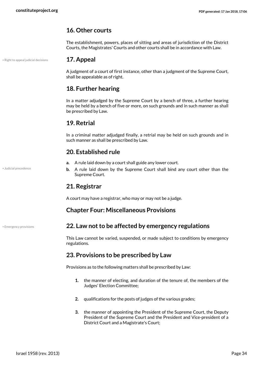#### <span id="page-33-0"></span>**16. Other courts**

<span id="page-33-1"></span>The establishment, powers, places of sitting and areas of jurisdiction of the District Courts, the Magistrates' Courts and other courts shall be in accordance with Law.

#### • Right to appeal judicial decisions **17. Appeal**

<span id="page-33-11"></span>A judgment of a court of first instance, other than a judgment of the Supreme Court, shall be appealable as of right.

#### <span id="page-33-2"></span>**18. Further hearing**

In a matter adjudged by the Supreme Court by a bench of three, a further hearing may be held by a bench of five or more, on such grounds and in such manner as shall be prescribed by Law.

#### <span id="page-33-3"></span>**19. Retrial**

In a criminal matter adjudged finally, a retrial may be held on such grounds and in such manner as shall be prescribed by Law.

#### <span id="page-33-4"></span>**20. Established rule**

- **a.** A rule laid down by a court shall guide any lower court.
- **b.** A rule laid down by the Supreme Court shall bind any court other than the Supreme Court.

#### <span id="page-33-5"></span>**21. Registrar**

A court may have a registrar, who may or may not be a judge.

#### <span id="page-33-7"></span><span id="page-33-6"></span>**Chapter Four: Miscellaneous Provisions**

<span id="page-33-9"></span>

#### • Emergency provisions **22. Law not to be affected by emergency regulations**

This Law cannot be varied, suspended, or made subject to conditions by emergency regulations.

#### **23. Provisions to be prescribed by Law**

Provisions as to the following matters shall be prescribed by Law:

- <span id="page-33-8"></span>**1.** the manner of electing, and duration of the tenure of, the members of the Judges' Election Committee;
- **2.** qualifications for the posts of judges of the various grades;
- **3.** the manner of appointing the President of the Supreme Court, the Deputy President of the Supreme Court and the President and Vice-president of a District Court and a Magistrate's Court;

<span id="page-33-10"></span>• Judicial precedence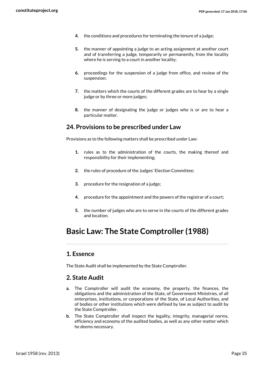- **4.** the conditions and procedures for terminating the tenure of a judge;
- **5.** the manner of appointing a judge to an acting assignment at another court and of transferring a judge, temporarily or permanently, from the locality where he is serving to a court in another locality;
- **6.** proceedings for the suspension of a judge from office, and review of the suspension;
- **7.** the matters which the courts of the different grades are to hear by a single judge or by three or more judges;
- <span id="page-34-0"></span>**8.** the manner of designating the judge or judges who is or are to hear a particular matter.

#### **24. Provisions to be prescribed under Law**

Provisions as to the following matters shall be prescribed under Law:

- **1.** rules as to the administration of the courts, the making thereof and responsibility for their implementing;
- **2.** the rules of procedure of the Judges' Election Committee;
- **3.** procedure for the resignation of a judge;
- **4.** procedure for the appointment and the powers of the registrar of a court;
- <span id="page-34-1"></span>**5.** the number of judges who are to serve in the courts of the different grades and location.

# **Basic Law: The State Comptroller (1988)**

#### <span id="page-34-2"></span>**1. Essence**

The State Audit shall be implemented by the State Comptroller.

#### <span id="page-34-3"></span>**2. State Audit**

- **a.** The Comptroller will audit the economy, the property, the finances, the obligations and the administration of the State, of Government Ministries, of all enterprises, institutions, or corporations of the State, of Local Authorities, and of bodies or other institutions which were defined by law as subject to audit by the State Comptroller.
- **b.** The State Comptroller shall inspect the legality, integrity, managerial norms, efficiency and economy of the audited bodies, as well as any other matter which he deems necessary.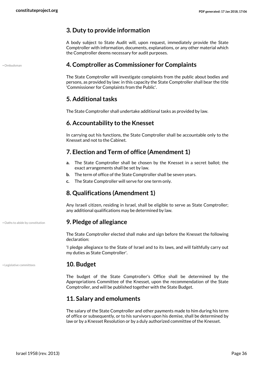#### <span id="page-35-0"></span>**3. Duty to provide information**

A body subject to State Audit will, upon request, immediately provide the State Comptroller with information, documents, explanations, or any other material which the Comptroller deems necessary for audit purposes.

<span id="page-35-11"></span>• Ombudsman **4. Comptroller as Commissioner for Complaints**

<span id="page-35-1"></span>The State Comptroller will investigate complaints from the public about bodies and persons, as provided by law: in this capacity the State Comptroller shall bear the title 'Commissioner for Complaints from the Public'.

#### <span id="page-35-2"></span>**5. Additional tasks**

The State Comptroller shall undertake additional tasks as provided by law.

#### <span id="page-35-3"></span>**6. Accountability to the Knesset**

In carrying out his functions, the State Comptroller shall be accountable only to the Knesset and not to the Cabinet.

#### <span id="page-35-4"></span>**7. Election and Term of office (Amendment 1)**

- **a.** The State Comptroller shall be chosen by the Knesset in a secret ballot; the exact arrangements shall be set by law.
- **b.** The term of office of the State Comptroller shall be seven years.
- **c.** The State Comptroller will serve for one term only.

#### <span id="page-35-5"></span>**8. Qualifications (Amendment 1)**

<span id="page-35-6"></span>Any Israeli citizen, residing in Israel, shall be eligible to serve as State Comptroller; any additional qualifications may be determined by law.

#### • Oaths to abide by constitution **9. Pledge of allegiance**

<span id="page-35-10"></span>The State Comptroller elected shall make and sign before the Knesset the following declaration:

<span id="page-35-7"></span>'I pledge allegiance to the State of Israel and to its laws, and will faithfully carry out my duties as State Comptroller'.

#### • Legislative committees **10. Budget**

The budget of the State Comptroller's Office shall be determined by the Appropriations Committee of the Knesset, upon the recommendation of the State Comptroller, and will be published together with the State Budget.

#### <span id="page-35-8"></span>**11. Salary and emoluments**

The salary of the State Comptroller and other payments made to him during his term of office or subsequently, or to his survivors upon his demise, shall be determined by law or by a Knesset Resolution or by a duly authorized committee of the Knesset.

<span id="page-35-9"></span>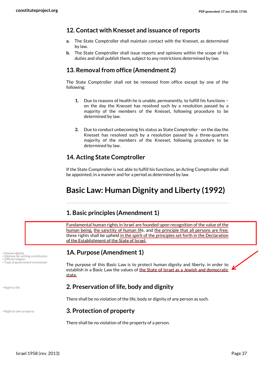#### <span id="page-36-0"></span>**12. Contact with Knesset and issuance of reports**

- **a.** The State Comptroller shall maintain contact with the Knesset, as determined by law.
- **b.** The State Comptroller shall issue reports and opinions within the scope of his duties and shall publish them, subject to any restrictions determined by law.

#### **13. Removal from office (Amendment 2)**

The State Comptroller shall not be removed from office except by one of the following:

- <span id="page-36-1"></span>**1.** Due to reasons of health he is unable, permanently, to fulfill his functions – on the day the Knesset has resolved such by a resolution passed by a majority of the members of the Knesset, following procedure to be determined by law.
- <span id="page-36-2"></span>**2.** Due to conduct unbecoming his status as State Comptroller - on the day the Knesset has resolved such by a resolution passed by a three-quarters majority of the members of the Knesset, following procedure to be determined by law.

#### **14. Acting State Comptroller**

If the State Comptroller is not able to fulfill his functions, an Acting Comptroller shall be appointed, in a manner and for a period as determined by law.

# <span id="page-36-3"></span>**Basic Law: Human Dignity and Liberty (1992)**

#### <span id="page-36-4"></span>**1. Basic principles (Amendment 1)**

Fundamental human rights in Israel are founded upon recognition of the value of the human being, the sanctity of human life, and the principle that all persons are free; these rights shall be upheld in the spirit of the principles set forth in the Declaration of the Establishment of the State of Israel.

#### <span id="page-36-9"></span><span id="page-36-5"></span>**1A. Purpose (Amendment 1)**

<span id="page-36-13"></span>The purpose of this Basic Law is to protect human dignity and liberty, in order to establish in a Basic Law the values of the State of Israel as a Jewish and democratic state.

<span id="page-36-11"></span>

#### • Right to life **2. Preservation of life, body and dignity**

<span id="page-36-7"></span><span id="page-36-6"></span>There shall be no violation of the life, body or dignity of any person as such.

<span id="page-36-12"></span>

<span id="page-36-10"></span><span id="page-36-8"></span>• Motives for writing constitution • Official religion<br>• Type of government envisioned

#### • Right to own property **3. Protection of property**

There shall be no violation of the property of a person.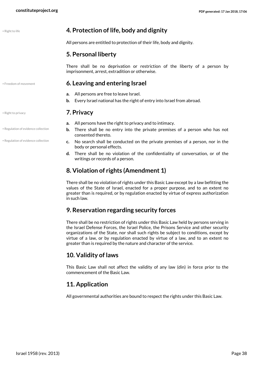<span id="page-37-10"></span>

| Right to life |  |  |
|---------------|--|--|

#### <span id="page-37-0"></span>• Right to life **4. Protection of life, body and dignity**

All persons are entitled to protection of their life, body and dignity.

#### <span id="page-37-1"></span>**5. Personal liberty**

There shall be no deprivation or restriction of the liberty of a person by imprisonment, arrest, extradition or otherwise.

#### <span id="page-37-8"></span>• Freedom of movement **6. Leaving and entering Israel**

- <span id="page-37-2"></span>**a.** All persons are free to leave Israel.
- <span id="page-37-3"></span>**b.** Every Israel national has the right of entry into Israel from abroad.

#### • Right to privacy **7. Privacy**

- **a.** All persons have the right to privacy and to intimacy.
- **b.** There shall be no entry into the private premises of a person who has not consented thereto.
- <span id="page-37-9"></span>**c.** No search shall be conducted on the private premises of a person, nor in the body or personal effects.
- **d.** There shall be no violation of the confidentiality of conversation, or of the writings or records of a person.

#### <span id="page-37-4"></span>**8. Violation of rights (Amendment 1)**

There shall be no violation of rights under this Basic Law except by a law befitting the values of the State of Israel, enacted for a proper purpose, and to an extent no greater than is required, or by regulation enacted by virtue of express authorization in such law.

#### <span id="page-37-5"></span>**9. Reservation regarding security forces**

There shall be no restriction of rights under this Basic Law held by persons serving in the Israel Defense Forces, the Israel Police, the Prisons Service and other security organizations of the State, nor shall such rights be subject to conditions, except by virtue of a law, or by regulation enacted by virtue of a law, and to an extent no greater than is required by the nature and character of the service.

#### <span id="page-37-6"></span>**10. Validity of laws**

This Basic Law shall not affect the validity of any law (din) in force prior to the commencement of the Basic Law.

#### <span id="page-37-7"></span>**11. Application**

All governmental authorities are bound to respect the rights under this Basic Law.

<span id="page-37-11"></span>

• Regulation of evidence collection

• Regulation of evidence collection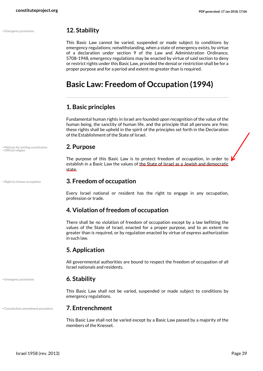#### • Emergency provisions **12. Stability**

<span id="page-38-0"></span>This Basic Law cannot be varied, suspended or made subject to conditions by emergency regulations; notwithstanding, when a state of emergency exists, by virtue of a declaration under section 9 of the Law and Administration Ordinance, 5708-1948, emergency regulations may be enacted by virtue of said section to deny or restrict rights under this Basic Law, provided the denial or restriction shall be for a proper purpose and for a period and extent no greater than is required.

# <span id="page-38-1"></span>**Basic Law: Freedom of Occupation (1994)**

#### <span id="page-38-2"></span>**1. Basic principles**

Fundamental human rights in Israel are founded upon recognition of the value of the human being, the sanctity of human life, and the principle that all persons are free; these rights shall be upheld in the spirit of the principles set forth in the Declaration of the Establishment of the State of Israel.

<span id="page-38-11"></span><span id="page-38-3"></span>The purpose of this Basic Law is to protect freedom of occupation, in order to  $\mu$ establish in a Basic Law the values of the State of Israel as a Jewish and democratic state.

#### • Right to choose occupation **3. Freedom of occupation**

<span id="page-38-13"></span><span id="page-38-4"></span>Every Israel national or resident has the right to engage in any occupation, profession or trade.

#### <span id="page-38-5"></span>**4. Violation of freedom of occupation**

There shall be no violation of freedom of occupation except by a law befitting the values of the State of Israel, enacted for a proper purpose, and to an extent no greater than is required, or by regulation enacted by virtue of express authorization in such law.

#### <span id="page-38-6"></span>**5. Application**

<span id="page-38-7"></span>All governmental authorities are bound to respect the freedom of occupation of all Israel nationals and residents.

#### <span id="page-38-10"></span>• Emergency provisions **6. Stability**

<span id="page-38-8"></span>This Basic Law shall not be varied, suspended or made subject to conditions by emergency regulations.

#### • Constitution amendment procedure **7. Entrenchment**

<span id="page-38-9"></span>This Basic Law shall not be varied except by a Basic Law passed by a majority of the members of the Knesset.

<span id="page-38-12"></span>• Motives for writing constitution **2. Purpose** • Official religion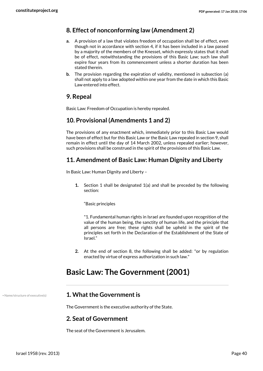#### <span id="page-39-0"></span>**8. Effect of nonconforming law (Amendment 2)**

- **a.** A provision of a law that violates freedom of occupation shall be of effect, even though not in accordance with section 4, if it has been included in a law passed by a majority of the members of the Knesset, which expressly states that it shall be of effect, notwithstanding the provisions of this Basic Law; such law shall expire four years from its commencement unless a shorter duration has been stated therein.
- **b.** The provision regarding the expiration of validity, mentioned in subsection (a) shall not apply to a law adopted within one year from the date in which this Basic Law entered into effect.

#### <span id="page-39-1"></span>**9. Repeal**

Basic Law: Freedom of Occupation is hereby repealed.

#### <span id="page-39-2"></span>**10. Provisional (Amendments 1 and 2)**

The provisions of any enactment which, immediately prior to this Basic Law would have been of effect but for this Basic Law or the Basic Law repealed in section 9, shall remain in effect until the day of 14 March 2002, unless repealed earlier; however, such provisions shall be construed in the spirit of the provisions of this Basic Law.

#### **11. Amendment of Basic Law: Human Dignity and Liberty**

In Basic Law: Human Dignity and Liberty –

**1.** Section 1 shall be designated 1(a) and shall be preceded by the following section:

<span id="page-39-3"></span>"Basic principles

"1. Fundamental human rights in Israel are founded upon recognition of the value of the human being, the sanctity of human life, and the principle that all persons are free; these rights shall be upheld in the spirit of the principles set forth in the Declaration of the Establishment of the State of Israel."

<span id="page-39-4"></span>**2.** At the end of section 8, the following shall be added: "or by regulation enacted by virtue of express authorization in such law."

# **Basic Law: The Government (2001)**

#### • Name/structure of executive(s) **1. What the Government is**

<span id="page-39-7"></span><span id="page-39-6"></span><span id="page-39-5"></span>The Government is the executive authority of the State.

#### **2. Seat of Government**

The seat of the Government is Jerusalem.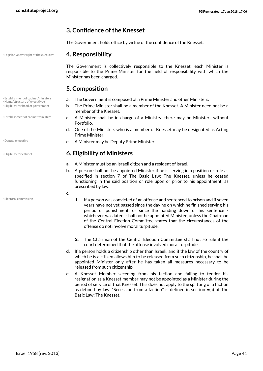#### <span id="page-40-0"></span>**3. Confidence of the Knesset**

<span id="page-40-1"></span>The Government holds office by virtue of the confidence of the Knesset.

#### • Legislative oversight of the executive **4. Responsibility**

<span id="page-40-9"></span>The Government is collectively responsible to the Knesset; each Minister is responsible to the Prime Minister for the field of responsibility with which the Minister has been charged.

#### <span id="page-40-10"></span><span id="page-40-8"></span><span id="page-40-7"></span><span id="page-40-2"></span>**5. Composition**

- **a.** The Government is composed of a Prime Minister and other Ministers.
	- **b.** The Prime Minister shall be a member of the Knesset. A Minister need not be a member of the Knesset.
	- **c.** A Minister shall be in charge of a Ministry; there may be Ministers without Portfolio.
	- **d.** One of the Ministers who is a member of Knesset may be designated as Acting Prime Minister.
- <span id="page-40-4"></span>**e.** A Minister may be Deputy Prime Minister.

#### • Eligibility for cabinet **6. Eligibility of Ministers**

- <span id="page-40-3"></span>**a.** A Minister must be an Israeli citizen and a resident of Israel.
- **b.** A person shall not be appointed Minister if he is serving in a position or role as specified in section 7 of The Basic Law: The Knesset, unless he ceased functioning in the said position or role upon or prior to his appointment, as prescribed by law.
- **c.**
- **1.** If a person was convicted of an offense and sentenced to prison and if seven years have not yet passed since the day he on which he finished serving his period of punishment, or since the handing down of his sentence whichever was later - shall not be appointed Minister, unless the Chairman of the Central Election Committee states that the circumstances of the offense do not involve moral turpitude.
- **2.** The Chairman of the Central Election Committee shall not so rule if the court determined that the offense involved moral turpitude.
- **d.** If a person holds a citizenship other than Israeli, and if the law of the country of which he is a citizen allows him to be released from such citizenship, he shall be appointed Minister only after he has taken all measures necessary to be released from such citizenship.
- **e.** A Knesset Member seceding from his faction and failing to tender his resignation as a Knesset member may not be appointed as a Minister during the period of service of that Knesset. This does not apply to the splitting of a faction as defined by law. "Secession from a faction" is defined in section 6(a) of The Basic Law: The Knesset.
- 
- Name/structure of executive(s)
- Eligibility for head of government
- Establishment of cabinet/ministers
- 
- <span id="page-40-6"></span>

<span id="page-40-5"></span>• Electoral commission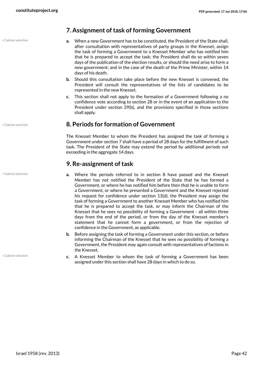• Cabinet selection

#### <span id="page-41-0"></span>**7. Assignment of task of forming Government**

- **a.** When a new Government has to be constituted, the President of the State shall, after consultation with representatives of party groups in the Knesset, assign the task of forming a Government to a Knesset Member who has notified him that he is prepared to accept the task; the President shall do so within seven days of the publication of the election results, or should the need arise to form a new government; and in the case of the death of the Prime Minister, within 14 days of his death.
- **b.** Should this consultation take place before the new Knesset is convened, the President will consult the representatives of the lists of candidates to be represented in the new Knesset.
- **c.** This section shall not apply to the formation of a Government following a no confidence vote according to section 28 or in the event of an application to the President under section 29(b), and the provisions specified in those sections shall apply.

#### • Cabinet selection **8. Periods for formation of Government**

<span id="page-41-1"></span>The Knesset Member to whom the President has assigned the task of forming a Government under section 7 shall have a period of 28 days for the fulfillment of such task. The President of the State may extend the period by additional periods not exceeding in the aggregate 14 days.

#### <span id="page-41-2"></span>**9. Re-assignment of task**

- **a.** Where the periods referred to in section 8 have passed and the Knesset Member has not notified the President of the State that he has formed a Government, or where he has notified him before then that he is unable to form a Government, or where he presented a Government and the Knesset rejected his request for confidence under section 13(d), the President may assign the task of forming a Government to another Knesset Member who has notified him that he is prepared to accept the task, or may inform the Chairman of the Knesset that he sees no possibility of forming a Government - all within three days from the end of the period, or from the day of the Knesset member's statement that he cannot form a government, or from the rejection of confidence in the Government, as applicable.
- **b.** Before assigning the task of forming a Government under this section, or before informing the Chairman of the Knesset that he sees no possibility of forming a Government, the President may again consult with representatives of factions in the Knesset.
- **c.** A Knesset Member to whom the task of forming a Government has been assigned under this section shall have 28 days in which to do so.

<span id="page-41-3"></span>• Cabinet selection

• Cabinet selection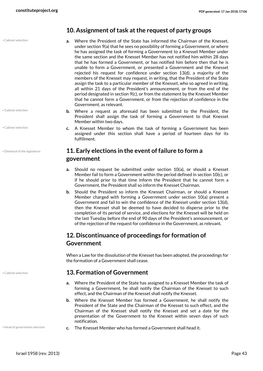• Cabinet selection

- Cabinet selection
- Cabinet selection
- Dismissal of the legislature

- 
- 
- 
- <span id="page-42-0"></span>**10. Assignment of task at the request of party groups**
- **a.** Where the President of the State has informed the Chairman of the Knesset, under section 9(a) that he sees no possibility of forming a Government, or where he has assigned the task of forming a Government to a Knesset Member under the same section and the Knesset Member has not notified him within 28 days that he has formed a Government, or has notified him before then that he is unable to form a Government, or presented a Government and the Knesset rejected his request for confidence under section 13(d), a majority of the members of the Knesset may request, in writing, that the President of the State assign the task to a particular member of the Knesset, who so agreed in writing, all within 21 days of the President's announcement, or from the end of the period designated in section 9(c), or from the statement by the Knesset Member that he cannot form a Government, or from the rejection of confidence in the Government, as relevant.
- **b.** Where a request as aforesaid has been submitted to the President, the President shall assign the task of forming a Government to that Knesset Member within two days.
- **c.** A Knesset Member to whom the task of forming a Government has been assigned under this section shall have a period of fourteen days for its fulfillment.

#### <span id="page-42-5"></span><span id="page-42-1"></span>**11. Early elections in the event of failure to form a government**

- **a.** Should no request be submitted under section 10(a), or should a Knesset Member fail to form a Government within the period defined in section 10(c), or if he should prior to that time inform the President that he cannot form a Government, the President shall so inform the Knesset Chairman.
- **b.** Should the President so inform the Knesset Chairman, or should a Knesset Member charged with forming a Government under section 10(a) present a Government and fail to win the confidence of the Knesset under section 13(d), then the Knesset shall be deemed to have decided to disperse prior to the completion of its period of service, and elections for the Knesset will be held on the last Tuesday before the end of 90 days of the President's announcement, or of the rejection of the request for confidence in the Government, as relevant.

### <span id="page-42-2"></span>**12. Discontinuance of proceedings for formation of Government**

<span id="page-42-3"></span>When a Law for the dissolution of the Knesset has been adopted, the proceedings for the formation of a Government shall cease.

#### <span id="page-42-4"></span>• Cabinet selection **13. Formation of Government**

- **a.** Where the President of the State has assigned to a Knesset Member the task of forming a Government, he shall notify the Chairman of the Knesset to such effect, and the Chairman of the Knesset shall notify the Knesset.
- <span id="page-42-6"></span>**b.** Where the Knesset Member has formed a Government, he shall notify the President of the State and the Chairman of the Knesset to such effect, and the Chairman of the Knesset shall notify the Knesset and set a date for the presentation of the Government to the Knesset within seven days of such notification.
- Head of government selection **c.** The Knesset Member who has formed a Government shall head it.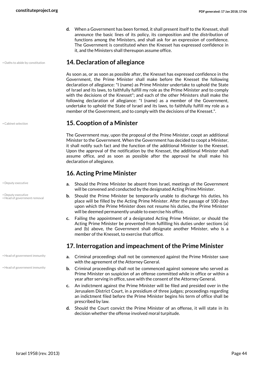**d.** When a Government has been formed, it shall present itself to the Knesset, shall announce the basic lines of its policy, its composition and the distribution of functions among the Ministers, and shall ask for an expression of confidence. The Government is constituted when the Knesset has expressed confidence in it, and the Ministers shall thereupon assume office.

#### • Oaths to abide by constitution **14. Declaration of allegiance**

<span id="page-43-8"></span><span id="page-43-0"></span>As soon as, or as soon as possible after, the Knesset has expressed confidence in the Government, the Prime Minister shall make before the Knesset the following declaration of allegiance: "I (name) as Prime Minister undertake to uphold the State of Israel and its laws, to faithfully fulfill my role as the Prime Minister and to comply with the decisions of the Knesset"; and each of the other Ministers shall make the following declaration of allegiance: "I (name) as a member of the Government, undertake to uphold the State of Israel and its laws, to faithfully fulfill my role as a member of the Government, and to comply with the decisions of the Knesset.".

#### <span id="page-43-4"></span>• Cabinet selection **15. Cooption of a Minister**

<span id="page-43-1"></span>The Government may, upon the proposal of the Prime Minister, coopt an additional Minister to the Government. When the Government has decided to coopt a Minister, it shall notify such fact and the function of the additional Minister to the Knesset. Upon the approval of the notification by the Knesset, the additional Minister shall assume office, and as soon as possible after the approval he shall make his declaration of allegiance.

#### <span id="page-43-2"></span>**16. Acting Prime Minister**

- **a.** Should the Prime Minister be absent from Israel, meetings of the Government will be convened and conducted by the designated Acting Prime Minister.
- <span id="page-43-7"></span>**b.** Should the Prime Minister be temporarily unable to discharge his duties, his place will be filled by the Acting Prime Minister. After the passage of 100 days upon which the Prime Minister does not resume his duties, the Prime Minister will be deemed permanently unable to exercise his office.
- **c.** Failing the appointment of a designated Acting Prime Minister, or should the Acting Prime Minister be prevented from fulfilling his duties under sections (a) and (b) above, the Government shall designate another Minister, who is a member of the Knesset, to exercise that office.

#### <span id="page-43-3"></span>**17. Interrogation and impeachment of the Prime Minister**

- **a.** Criminal proceedings shall not be commenced against the Prime Minister save with the agreement of the Attorney General.
- <span id="page-43-6"></span>**b.** Criminal proceedings shall not be commenced against someone who served as Prime Minister on suspicion of an offense committed while in office or within a year after serving in office, save with the consent of the Attorney General.
- **c.** An indictment against the Prime Minister will be filed and presided over in the Jerusalem District Court, in a presidium of three judges; proceedings regarding an indictment filed before the Prime Minister begins his term of office shall be prescribed by law.
- **d.** Should the Court convict the Prime Minister of an offense, it will state in its decision whether the offense involved moral turpitude.

• Deputy executive

<span id="page-43-5"></span>• Deputy executive • Head of government removal

• Head of government immunity

• Head of government immunity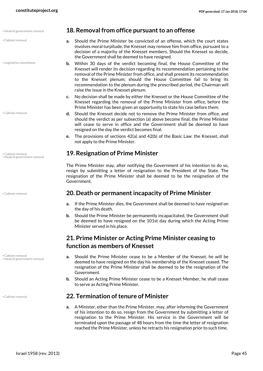<span id="page-44-7"></span><span id="page-44-0"></span>

| · Head of government removal                      | 18. Removal from office pursuant to an offense                                                                                                                                                                                                                                                                                                                                                                                                        |
|---------------------------------------------------|-------------------------------------------------------------------------------------------------------------------------------------------------------------------------------------------------------------------------------------------------------------------------------------------------------------------------------------------------------------------------------------------------------------------------------------------------------|
| · Cabinet removal                                 | Should the Prime Minister be convicted of an offense, which the court states<br>a.<br>involves moral turpitude, the Knesset may remove him from office, pursuant to a<br>decision of a majority of the Knesset members. Should the Knesset so decide<br>the Government shall be deemed to have resigned.                                                                                                                                              |
| • Legislative committees                          | Within 30 days of the verdict becoming final, the House Committee of the<br>b.<br>Knesset will render its decision regarding its recommendation pertaining to the<br>removal of the Prime Minister from office, and shall present its recommendation<br>to the Knesset plenum; should the House Committee fail to bring its<br>recommendation to the plenum during the prescribed period, the Chairman will<br>raise the issue in the Knesset plenum. |
|                                                   | No decision shall be made by either the Knesset or the House Committee of the<br>c.<br>Knesset regarding the removal of the Prime Minister from office, before the<br>Prime Minister has been given an opportunity to state his case before them.                                                                                                                                                                                                     |
| • Cabinet removal                                 | Should the Knesset decide not to remove the Prime Minister from office, and<br>d.<br>should the verdict as per subsection (a) above become final, the Prime Minister<br>will cease to serve in office and the Government shall be deemed to have<br>resigned on the day the verdict becomes final.                                                                                                                                                    |
|                                                   | The provisions of sections 42(a) and 42(b) of the Basic Law: the Knesset, shall<br>е.<br>not apply to the Prime Minister.                                                                                                                                                                                                                                                                                                                             |
| • Cabinet removal<br>• Head of government removal | <b>19. Resignation of Prime Minister</b>                                                                                                                                                                                                                                                                                                                                                                                                              |
|                                                   | The Prime Minister may, after notifying the Government of his intention to do so.<br>resign by submitting a letter of resignation to the President of the State. The<br>resignation of the Prime Minister shall be deemed to be the resignation of the<br>Government.                                                                                                                                                                                 |
| • Cabinet removal                                 | 20. Death or permanent incapacity of Prime Minister                                                                                                                                                                                                                                                                                                                                                                                                   |
|                                                   | If the Prime Minister dies, the Government shall be deemed to have resigned on<br>a.<br>the day of his death.                                                                                                                                                                                                                                                                                                                                         |
|                                                   | Should the Prime Minister be permanently incapacitated, the Government shall<br>be deemed to have resigned on the 101st day during which the Acting Prime<br>Minister served in his place.                                                                                                                                                                                                                                                            |
|                                                   | 21. Prime Minister or Acting Prime Minister ceasing to                                                                                                                                                                                                                                                                                                                                                                                                |
|                                                   | function as members of Knesset                                                                                                                                                                                                                                                                                                                                                                                                                        |
| • Cabinet removal<br>• Head of government removal | Should the Prime Minister cease to be a Member of the Knesset, he will be<br>а.<br>deemed to have resigned on the day his membership of the Knesset ceased. The<br>resignation of the Prime Minister shall be deemed to be the resignation of the<br>Government.                                                                                                                                                                                      |
|                                                   | Should an Acting Prime Minister cease to be a Knesset Member, he shall cease<br>b.<br>to serve as Acting Prime Minister.                                                                                                                                                                                                                                                                                                                              |

#### <span id="page-44-5"></span>• Cabinet removal **22. Termination of tenure of Minister**

<span id="page-44-6"></span><span id="page-44-4"></span><span id="page-44-3"></span><span id="page-44-2"></span><span id="page-44-1"></span>**a.** A Minister, other than the Prime Minister, may, after informing the Government of his intention to do so, resign from the Government by submitting a letter of resignation to the Prime Minister. His service in the Government will be terminated upon the passage of 48 hours from the time the letter of resignation reached the Prime Minister, unless he retracts his resignation prior to such time.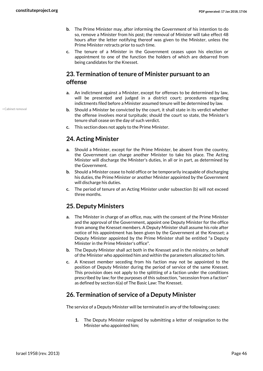- **b.** The Prime Minister may, after informing the Government of his intention to do so, remove a Minister from his post; the removal of Minister will take effect 48 hours after the letter notifying thereof was given to the Minister, unless the Prime Minister retracts prior to such time.
- **c.** The tenure of a Minister in the Government ceases upon his election or appointment to one of the function the holders of which are debarred from being candidates for the Knesset.

# **23. Termination of tenure of Minister pursuant to an**

#### <span id="page-45-0"></span>**offense**

- **a.** An indictment against a Minister, except for offenses to be determined by law, will be presented and judged in a district court; procedures regarding indictments filed before a Minister assumed tenure will be determined by law.
- **b.** Should a Minister be convicted by the court, it shall state in its verdict whether the offense involves moral turpitude; should the court so state, the Minister's tenure shall cease on the day of such verdict.
- **c.** This section does not apply to the Prime Minister.

### <span id="page-45-1"></span>**24. Acting Minister**

- **a.** Should a Minister, except for the Prime Minister, be absent from the country, the Government can charge another Minister to take his place. The Acting Minister will discharge the Minister's duties, in all or in part, as determined by the Government.
- **b.** Should a Minister cease to hold office or be temporarily incapable of discharging his duties, the Prime Minister or another Minister appointed by the Government will discharge his duties.
- **c.** The period of tenure of an Acting Minister under subsection (b) will not exceed three months.

#### <span id="page-45-2"></span>**25. Deputy Ministers**

- **a.** The Minister in charge of an office, may, with the consent of the Prime Minister and the approval of the Government, appoint one Deputy Minister for the office from among the Knesset members. A Deputy Minister shall assume his role after notice of his appointment has been given by the Government at the Knesset; a Deputy Minister appointed by the Prime Minister shall be entitled "a Deputy Minister in the Prime Minister's office".
- **b.** The Deputy Minister shall act both in the Knesset and in the ministry, on behalf of the Minister who appointed him and within the parameters allocated to him.
- **c.** A Knesset member seceding from his faction may not be appointed to the position of Deputy Minister during the period of service of the same Knesset. This provision does not apply to the splitting of a faction under the conditions prescribed by law; for the purposes of this subsection, "secession from a faction" as defined by section 6(a) of The Basic Law: The Knesset.

#### **26. Termination of service of a Deputy Minister**

The service of a Deputy Minister will be terminated in any of the following cases:

<span id="page-45-3"></span>**1.** The Deputy Minister resigned by submitting a letter of resignation to the Minister who appointed him;

<span id="page-45-4"></span>• Cabinet removal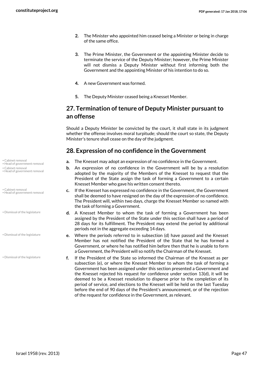- **2.** The Minister who appointed him ceased being a Minister or being in charge of the same office.
- **3.** The Prime Minister, the Government or the appointing Minister decide to terminate the service of the Deputy Minister; however, the Prime Minister will not dismiss a Deputy Minister without first informing both the Government and the appointing Minister of his intention to do so.
- **4.** A new Government was formed.
- <span id="page-46-0"></span>**5.** The Deputy Minister ceased being a Knesset Member.

#### **27. Termination of tenure of Deputy Minister pursuant to an offense**

Should a Deputy Minister be convicted by the court, it shall state in its judgment whether the offense involves moral turpitude; should the court so state, the Deputy Minister's tenure shall cease on the day of the judgment.

#### <span id="page-46-1"></span>**28. Expression of no confidence in the Government**

- Cabinet removal **a.** The Knesset may adopt an expression of no confidence in the Government.
	- **b.** An expression of no confidence in the Government will be by a resolution adopted by the majority of the Members of the Knesset to request that the President of the State assign the task of forming a Government to a certain Knesset Member who gave his written consent thereto.
	- **c.** If the Knesset has expressed no confidence in the Government, the Government shall be deemed to have resigned on the day of the expression of no confidence. The President will, within two days, charge the Knesset Member so named with the task of forming a Government.
	- **d.** A Knesset Member to whom the task of forming a Government has been assigned by the President of the State under this section shall have a period of 28 days for its fulfillment. The President may extend the period by additional periods not in the aggregate exceeding 14 days.
	- **e.** Where the periods referred to in subsection (d) have passed and the Knesset Member has not notified the President of the State that he has formed a Government, or where he has notified him before then that he is unable to form a Government, the President will so notify the Chairman of the Knesset.
	- **f.** If the President of the State so informed the Chairman of the Knesset as per subsection (e), or where the Knesset Member to whom the task of forming a Government has been assigned under this section presented a Government and the Knesset rejected his request for confidence under section 13(d), it will be deemed to be a Knesset resolution to disperse prior to the completion of its period of service, and elections to the Knesset will be held on the last Tuesday before the end of 90 days of the President's announcement, or of the rejection of the request for confidence in the Government, as relevant.

- Head of government removal
- Cabinet removal • Head of government removal

<span id="page-46-4"></span><span id="page-46-2"></span>• Cabinet removal • Head of government removal

• Dismissal of the legislature

• Dismissal of the legislature

<span id="page-46-3"></span>• Dismissal of the legislature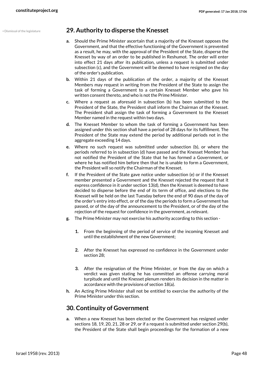#### • Dismissal of the legislature **29. Authority to disperse the Knesset**

- <span id="page-47-2"></span><span id="page-47-0"></span>**a.** Should the Prime Minister ascertain that a majority of the Knesset opposes the Government, and that the effective functioning of the Government is prevented as a result, he may, with the approval of the President of the State, disperse the Knesset by way of an order to be published in Reshumot. The order will enter into effect 21 days after its publication, unless a request is submitted under subsection (c), and the Government will be deemed to have resigned on the day of the order's publication.
- **b.** Within 21 days of the publication of the order, a majority of the Knesset Members may request in writing from the President of the State to assign the task of forming a Government to a certain Knesset Member who gave his written consent thereto, and who is not the Prime Minister.
- **c.** Where a request as aforesaid in subsection (b) has been submitted to the President of the State, the President shall inform the Chairman of the Knesset. The President shall assign the task of forming a Government to the Knesset Member named in the request within two days.
- **d.** The Knesset Member to whom the task of forming a Government has been assigned under this section shall have a period of 28 days for its fulfillment. The President of the State may extend the period by additional periods not in the aggregate exceeding 14 days.
- **e.** Where no such request was submitted under subsection (b), or where the periods referred to in subsection (d) have passed and the Knesset Member has not notified the President of the State that he has formed a Government, or where he has notified him before then that he is unable to form a Government, the President will so notify the Chairman of the Knesset.
- **f.** If the President of the State gave notice under subsection (e) or if the Knesset member presented a Government and the Knesset rejected the request that it express confidence in it under section 13(d), then the Knesset is deemed to have decided to disperse before the end of its term of office, and elections to the Knesset will be held on the last Tuesday before the end of 90 days of the day of the order's entry into effect, or of the day the periods to form a Government has passed, or of the day of the announcement to the President, or of the day of the rejection of the request for confidence in the government, as relevant.
- **g.** The Prime Minister may not exercise his authority according to this section
	- **1.** From the beginning of the period of service of the incoming Knesset and until the establishment of the new Government;
	- **2.** After the Knesset has expressed no confidence in the Government under section 28;
	- **3.** After the resignation of the Prime Minister, or from the day on which a verdict was given stating he has committed an offense carrying moral turpitude and until the Knesset plenum renders its decision in the matter in accordance with the provisions of section 18(a).
- **h.** An Acting Prime Minister shall not be entitled to exercise the authority of the Prime Minister under this section.

#### <span id="page-47-1"></span>**30. Continuity of Government**

**a.** When a new Knesset has been elected or the Government has resigned under sections 18, 19, 20, 21, 28 or 29, or if a request is submitted under section 29(b), the President of the State shall begin proceedings for the formation of a new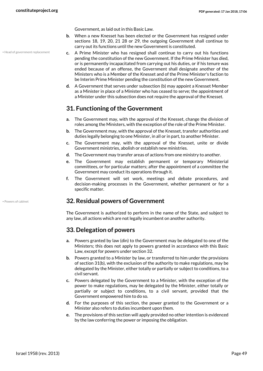Government, as laid out in this Basic Law.

- **b.** When a new Knesset has been elected or the Government has resigned under sections 18, 19, 20, 21 28 or 29, the outgoing Government shall continue to carry out its functions until the new Government is constituted.
- <span id="page-48-3"></span>**c.** A Prime Minister who has resigned shall continue to carry out his functions pending the constitution of the new Government. If the Prime Minister has died, or is permanently incapacitated from carrying out his duties, or if his tenure was ended because of an offense, the Government shall designate another of the Ministers who is a Member of the Knesset and of the Prime Minister's faction to be Interim Prime Minister pending the constitution of the new Government.
- **d.** A Government that serves under subsection (b) may appoint a Knesset Member as a Minister in place of a Minister who has ceased to serve; the appointment of a Minister under this subsection does not require the approval of the Knesset.

#### <span id="page-48-0"></span>**31. Functioning of the Government**

- **a.** The Government may, with the approval of the Knesset, change the division of roles among the Ministers, with the exception of the role of the Prime Minister.
- **b.** The Government may, with the approval of the Knesset, transfer authorities and duties legally belonging to one Minister, in all or in part, to another Minister.
- **c.** The Government may, with the approval of the Knesset, unite or divide Government ministries, abolish or establish new ministries.
- **d.** The Government may transfer areas of actions from one ministry to another.
- **e.** The Government may establish permanent or temporary Ministerial committees, or for particular matters; after the appointment of a committee the Government may conduct its operations through it.
- **f.** The Government will set work, meetings and debate procedures, and decision-making processes in the Government, whether permanent or for a specific matter.

#### • Powers of cabinet **32. Residual powers of Government**

<span id="page-48-1"></span>The Government is authorized to perform in the name of the State, and subject to any law, all actions which are not legally incumbent on another authority.

#### <span id="page-48-2"></span>**33. Delegation of powers**

- **a.** Powers granted by law (din) to the Government may be delegated to one of the Ministers; this does not apply to powers granted in accordance with this Basic Law, except for powers under section 32.
- **b.** Powers granted to a Minister by law, or transferred to him under the provisions of section 31(b), with the exclusion of the authority to make regulations, may be delegated by the Minister, either totally or partially or subject to conditions, to a civil servant.
- **c.** Powers delegated by the Government to a Minister, with the exception of the power to make regulations, may be delegated by the Minister, either totally or partially or subject to conditions, to a civil servant, provided that the Government empowered him to do so.
- **d.** For the purposes of this section, the power granted to the Government or a Minister also refers to duties incumbent upon them.
- **e.** The provisions of this section will apply provided no other intention is evidenced by the law conferring the power or imposing the obligation.

• Head of government replacement

<span id="page-48-4"></span>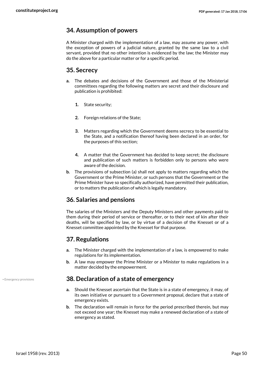#### <span id="page-49-0"></span>**34. Assumption of powers**

A Minister charged with the implementation of a law, may assume any power, with the exception of powers of a judicial nature, granted by the same law to a civil servant, provided that no other intention is evidenced by the law; the Minister may do the above for a particular matter or for a specific period.

#### <span id="page-49-1"></span>**35. Secrecy**

- **a.** The debates and decisions of the Government and those of the Ministerial committees regarding the following matters are secret and their disclosure and publication is prohibited:
	- **1.** State security;
	- **2.** Foreign relations of the State;
	- **3.** Matters regarding which the Government deems secrecy to be essential to the State, and a notification thereof having been declared in an order, for the purposes of this section;
	- **4.** A matter that the Government has decided to keep secret; the disclosure and publication of such matters is forbidden only to persons who were aware of the decision.
- **b.** The provisions of subsection (a) shall not apply to matters regarding which the Government or the Prime Minister, or such persons that the Government or the Prime Minister have so specifically authorized, have permitted their publication, or to matters the publication of which is legally mandatory.

#### <span id="page-49-2"></span>**36. Salaries and pensions**

The salaries of the Ministers and the Deputy Ministers and other payments paid to them during their period of service or thereafter, or to their next of kin after their deaths, will be specified by law, or by virtue of a decision of the Knesset or of a Knesset committee appointed by the Knesset for that purpose.

#### <span id="page-49-3"></span>**37. Regulations**

- **a.** The Minister charged with the implementation of a law, is empowered to make regulations for its implementation.
- <span id="page-49-4"></span>**b.** A law may empower the Prime Minister or a Minister to make regulations in a matter decided by the empowerment.

#### • Emergency provisions **38. Declaration of a state of emergency**

- **a.** Should the Knesset ascertain that the State is in a state of emergency, it may, of its own initiative or pursuant to a Government proposal, declare that a state of emergency exists.
- **b.** The declaration will remain in force for the period prescribed therein, but may not exceed one year; the Knesset may make a renewed declaration of a state of emergency as stated.

<span id="page-49-5"></span>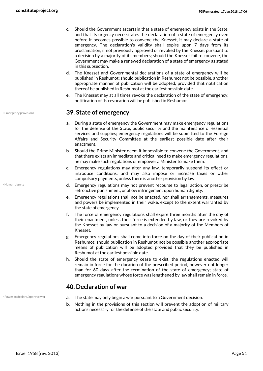- **c.** Should the Government ascertain that a state of emergency exists in the State, and that its urgency necessitates the declaration of a state of emergency even before it becomes possible to convene the Knesset, it may declare a state of emergency. The declaration's validity shall expire upon 7 days from its proclamation, if not previously approved or revoked by the Knesset pursuant to a decision by a majority of its members; should the Knesset fail to convene, the Government may make a renewed declaration of a state of emergency as stated in this subsection.
- **d.** The Knesset and Governmental declarations of a state of emergency will be published in Reshumot; should publication in Reshumot not be possible, another appropriate manner of publication will be adopted, provided that notification thereof be published in Reshumot at the earliest possible date.
- <span id="page-50-0"></span>**e.** The Knesset may at all times revoke the declaration of the state of emergency; notification of its revocation will be published in Reshumot.

#### <span id="page-50-2"></span>• Emergency provisions **39. State of emergency**

- **a.** During a state of emergency the Government may make emergency regulations for the defense of the State, public security and the maintenance of essential services and supplies; emergency regulations will be submitted to the Foreign Affairs and Security Committee at the earliest possible date after their enactment.
- **b.** Should the Prime Minister deem it impossible to convene the Government, and that there exists an immediate and critical need to make emergency regulations, he may make such regulations or empower a Minister to make them.
- **c.** Emergency regulations may alter any law, temporarily suspend its effect or introduce conditions, and may also impose or increase taxes or other compulsory payments, unless there is another provision by law.
- **d.** Emergency regulations may not prevent recourse to legal action, or prescribe retroactive punishment, or allow infringement upon human dignity.
- **e.** Emergency regulations shall not be enacted, nor shall arrangements, measures and powers be implemented in their wake, except to the extent warranted by the state of emergency.
- **f.** The force of emergency regulations shall expire three months after the day of their enactment, unless their force is extended by law, or they are revoked by the Knesset by law or pursuant to a decision of a majority of the Members of Knesset.
- **g.** Emergency regulations shall come into force on the day of their publication in Reshumot; should publication in Reshumot not be possible another appropriate means of publication will be adopted provided that they be published in Reshumot at the earliest possible date.
- **h.** Should the state of emergency cease to exist, the regulations enacted will remain in force for the duration of the prescribed period, however not longer than for 60 days after the termination of the state of emergency; state of emergency regulations whose force was lengthened by law shall remain in force.

#### <span id="page-50-4"></span><span id="page-50-1"></span>**40. Declaration of war**

- Power to declare/approve war **a.** The state may only begin a war pursuant to a Government decision.
	- **b.** Nothing in the provisions of this section will prevent the adoption of military actions necessary for the defense of the state and public security.

<span id="page-50-3"></span>• Human dignity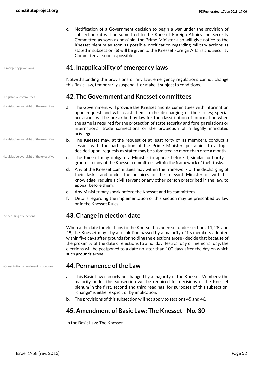**c.** Notification of a Government decision to begin a war under the provision of subsection (a) will be submitted to the Knesset Foreign Affairs and Security Committee as soon as possible; the Prime Minister also will give notice to the Knesset plenum as soon as possible; notification regarding military actions as stated in subsection (b) will be given to the Knesset Foreign Affairs and Security Committee as soon as possible.

#### <span id="page-51-6"></span>• Emergency provisions **41. Inapplicability of emergency laws**

<span id="page-51-1"></span><span id="page-51-0"></span>Notwithstanding the provisions of any law, emergency regulations cannot change this Basic Law, temporarily suspend it, or make it subject to conditions.

#### • Legislative committees **42. The Government and Knesset committees**

- <span id="page-51-7"></span>**a.** The Government will provide the Knesset and its committees with information upon request and will assist them in the discharging of their roles; special provisions will be prescribed by law for the classification of information when the same is required for the protection of state security and foreign relations or international trade connections or the protection of a legally mandated privilege.
- **b.** The Knesset may, at the request of at least forty of its members, conduct a session with the participation of the Prime Minister, pertaining to a topic decided upon; requests as stated may be submitted no more than once a month.
- <span id="page-51-8"></span>**c.** The Knesset may obligate a Minister to appear before it, similar authority is granted to any of the Knesset committees within the framework of their tasks.
- **d.** Any of the Knesset committees may within the framework of the discharging of their tasks, and under the auspices of the relevant Minister or with his knowledge, require a civil servant or any other person prescribed in the law, to appear before them.
- **e.** Any Minister may speak before the Knesset and its committees.
- <span id="page-51-2"></span>**f.** Details regarding the implementation of this section may be prescribed by law or in the Knesset Rules.

#### • Scheduling of elections **43. Change in election date**

When a the date for elections to the Knesset has been set under sections 11, 28, and 29, the Knesset may - by a resolution passed by a majority of its members adopted within five days after grounds for holding the elections arose - decide that because of the proximity of the date of elections to a holiday, festival day or memorial day, the elections will be postponed to a date no later than 100 days after the day on which such grounds arose.

#### • Constitution amendment procedure **44. Permanence of the Law**

- <span id="page-51-5"></span><span id="page-51-3"></span>**a.** This Basic Law can only be changed by a majority of the Knesset Members; the majority under this subsection will be required for decisions of the Knesset plenum in the first, second and third readings; for purposes of this subsection, "change" is either explicit or by implication.
- **b.** The provisions of this subsection will not apply to sections 45 and 46.

#### <span id="page-51-4"></span>**45. Amendment of Basic Law: The Knesset - No. 30**

In the Basic Law: The Knesset -

• Legislative oversight of the executive

• Legislative oversight of the executive

• Legislative oversight of the executive

<span id="page-51-9"></span>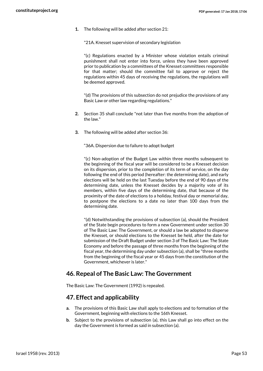**1.** The following will be added after section 21:

"21A. Knesset supervision of secondary legislation

"(c) Regulations enacted by a Minister whose violation entails criminal punishment shall not enter into force, unless they have been approved prior to publication by a committees of the Knesset committees responsible for that matter; should the committee fail to approve or reject the regulations within 45 days of receiving the regulations, the regulations will be deemed approved.

"(d) The provisions of this subsection do not prejudice the provisions of any Basic Law or other law regarding regulations."

- **2.** Section 35 shall conclude "not later than five months from the adoption of the law."
- **3.** The following will be added after section 36:

"36A. Dispersion due to failure to adopt budget

"(c) Non-adoption of the Budget Law within three months subsequent to the beginning of the fiscal year will be considered to be a Knesset decision on its dispersion, prior to the completion of its term of service, on the day following the end of this period (hereafter: the determining date), and early elections will be held on the last Tuesday before the end of 90 days of the determining date, unless the Knesset decides by a majority vote of its members, within five days of the determining date, that because of the proximity of the date of elections to a holiday, festival day or memorial day, to postpone the elections to a date no later than 100 days from the determining date.

<span id="page-52-0"></span>"(d) Notwithstanding the provisions of subsection (a), should the President of the State begin procedures to form a new Government under section 30 of The Basic Law: The Government, or should a law be adopted to disperse the Knesset, or should elections to the Knesset be held, after the date for submission of the Draft Budget under section 3 of The Basic Law: The State Economy and before the passage of three months from the beginning of the fiscal year, the determining day under subsection (a), shall be "three months from the beginning of the fiscal year or 45 days from the constitution of the Government, whichever is later."

#### **46. Repeal of The Basic Law: The Government**

The Basic Law: The Government (1992) is repealed.

#### <span id="page-52-1"></span>**47. Effect and applicability**

- **a.** The provisions of this Basic Law shall apply to elections and to formation of the Government, beginning with elections to the 16th Knesset.
- **b.** Subject to the provisions of subsection (a), this Law shall go into effect on the day the Government is formed as said in subsection (a).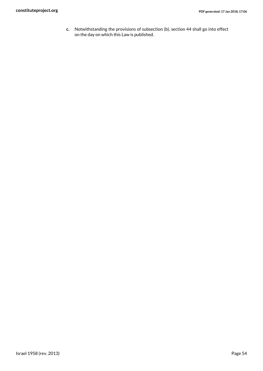**c.** Notwithstanding the provisions of subsection (b), section 44 shall go into effect on the day on which this Law is published.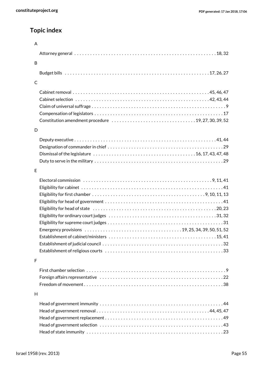## **Topic index**

| $\mathsf{A}$ |                                                                                                                                              |
|--------------|----------------------------------------------------------------------------------------------------------------------------------------------|
|              |                                                                                                                                              |
| B            |                                                                                                                                              |
|              |                                                                                                                                              |
| $\mathsf{C}$ |                                                                                                                                              |
|              |                                                                                                                                              |
|              |                                                                                                                                              |
|              |                                                                                                                                              |
|              |                                                                                                                                              |
|              |                                                                                                                                              |
| D            |                                                                                                                                              |
|              |                                                                                                                                              |
|              |                                                                                                                                              |
|              |                                                                                                                                              |
|              |                                                                                                                                              |
| E            |                                                                                                                                              |
|              |                                                                                                                                              |
|              |                                                                                                                                              |
|              |                                                                                                                                              |
|              |                                                                                                                                              |
|              |                                                                                                                                              |
|              |                                                                                                                                              |
|              |                                                                                                                                              |
|              | Emergency provisions $\ldots \ldots \ldots \ldots \ldots \ldots \ldots \ldots \ldots \ldots \ldots \ldots \ldots$ 19, 25, 34, 39, 50, 51, 52 |
|              |                                                                                                                                              |
|              |                                                                                                                                              |
|              |                                                                                                                                              |
| F            |                                                                                                                                              |
|              |                                                                                                                                              |
|              |                                                                                                                                              |
|              |                                                                                                                                              |
| H            |                                                                                                                                              |
|              |                                                                                                                                              |
|              |                                                                                                                                              |
|              |                                                                                                                                              |
|              |                                                                                                                                              |
|              |                                                                                                                                              |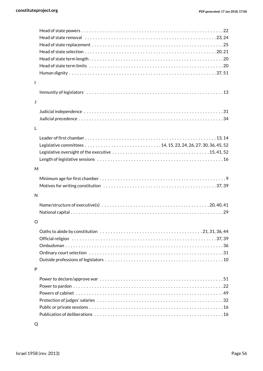| $\overline{\phantom{a}}$ |                                                                                                              |
|--------------------------|--------------------------------------------------------------------------------------------------------------|
|                          |                                                                                                              |
|                          |                                                                                                              |
| J                        |                                                                                                              |
|                          |                                                                                                              |
|                          |                                                                                                              |
|                          |                                                                                                              |
| $\mathsf{L}$             |                                                                                                              |
|                          |                                                                                                              |
|                          |                                                                                                              |
|                          |                                                                                                              |
|                          |                                                                                                              |
| M                        |                                                                                                              |
|                          |                                                                                                              |
|                          |                                                                                                              |
|                          |                                                                                                              |
|                          |                                                                                                              |
| N                        |                                                                                                              |
|                          |                                                                                                              |
|                          |                                                                                                              |
| $\circ$                  |                                                                                                              |
|                          | Oaths to abide by constitution $\dots\dots\dots\dots\dots\dots\dots\dots\dots\dots\dots\dots$ 21, 31, 36, 44 |
|                          |                                                                                                              |
|                          |                                                                                                              |
|                          |                                                                                                              |
|                          |                                                                                                              |
| P                        |                                                                                                              |
|                          |                                                                                                              |
|                          |                                                                                                              |
|                          |                                                                                                              |
|                          |                                                                                                              |
|                          |                                                                                                              |
|                          |                                                                                                              |